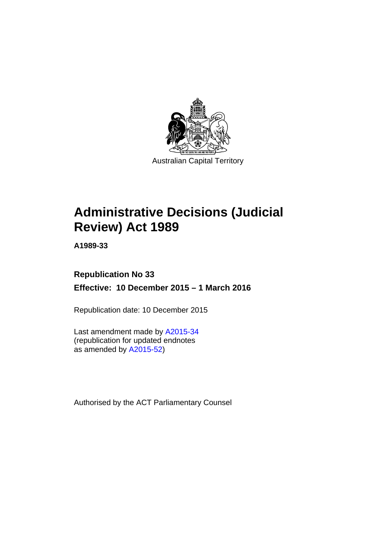

# **Administrative Decisions (Judicial Review) Act 1989**

**A1989-33** 

# **Republication No 33 Effective: 10 December 2015 – 1 March 2016**

Republication date: 10 December 2015

Last amendment made by [A2015-34](http://www.legislation.act.gov.au/a/2015-34) (republication for updated endnotes as amended by [A2015-52](http://www.legislation.act.gov.au/a/2015-52/default.asp))

Authorised by the ACT Parliamentary Counsel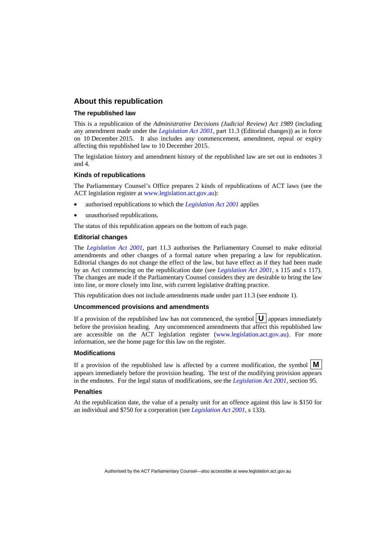# **About this republication**

#### **The republished law**

This is a republication of the *Administrative Decisions (Judicial Review) Act 1989* (including any amendment made under the *[Legislation Act 2001](http://www.legislation.act.gov.au/a/2001-14)*, part 11.3 (Editorial changes)) as in force on 10 December 2015*.* It also includes any commencement, amendment, repeal or expiry affecting this republished law to 10 December 2015.

The legislation history and amendment history of the republished law are set out in endnotes 3 and 4.

#### **Kinds of republications**

The Parliamentary Counsel's Office prepares 2 kinds of republications of ACT laws (see the ACT legislation register at [www.legislation.act.gov.au](http://www.legislation.act.gov.au/)):

- authorised republications to which the *[Legislation Act 2001](http://www.legislation.act.gov.au/a/2001-14)* applies
- unauthorised republications.

The status of this republication appears on the bottom of each page.

#### **Editorial changes**

The *[Legislation Act 2001](http://www.legislation.act.gov.au/a/2001-14)*, part 11.3 authorises the Parliamentary Counsel to make editorial amendments and other changes of a formal nature when preparing a law for republication. Editorial changes do not change the effect of the law, but have effect as if they had been made by an Act commencing on the republication date (see *[Legislation Act 2001](http://www.legislation.act.gov.au/a/2001-14)*, s 115 and s 117). The changes are made if the Parliamentary Counsel considers they are desirable to bring the law into line, or more closely into line, with current legislative drafting practice.

This republication does not include amendments made under part 11.3 (see endnote 1).

#### **Uncommenced provisions and amendments**

If a provision of the republished law has not commenced, the symbol  $\mathbf{U}$  appears immediately before the provision heading. Any uncommenced amendments that affect this republished law are accessible on the ACT legislation register [\(www.legislation.act.gov.au\)](http://www.legislation.act.gov.au/). For more information, see the home page for this law on the register.

#### **Modifications**

If a provision of the republished law is affected by a current modification, the symbol  $\mathbf{M}$ appears immediately before the provision heading. The text of the modifying provision appears in the endnotes. For the legal status of modifications, see the *[Legislation Act 2001](http://www.legislation.act.gov.au/a/2001-14)*, section 95.

#### **Penalties**

At the republication date, the value of a penalty unit for an offence against this law is \$150 for an individual and \$750 for a corporation (see *[Legislation Act 2001](http://www.legislation.act.gov.au/a/2001-14)*, s 133).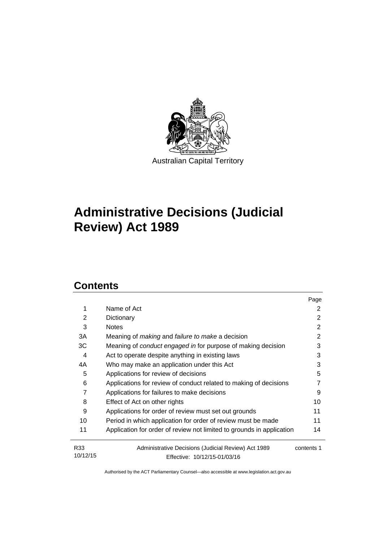

# **Administrative Decisions (Judicial Review) Act 1989**

# **Contents**

|                 |                                                                       | Page       |
|-----------------|-----------------------------------------------------------------------|------------|
| 1               | Name of Act                                                           | 2          |
| 2               | Dictionary                                                            | 2          |
| 3               | <b>Notes</b>                                                          | 2          |
| 3A              | Meaning of making and failure to make a decision                      | 2          |
| ЗC              | Meaning of conduct engaged in for purpose of making decision          | 3          |
| 4               | Act to operate despite anything in existing laws                      | 3          |
| 4A              | Who may make an application under this Act                            | 3          |
| 5               | Applications for review of decisions                                  | 5          |
| 6               | Applications for review of conduct related to making of decisions     |            |
| 7               | Applications for failures to make decisions                           | 9          |
| 8               | Effect of Act on other rights                                         | 10         |
| 9               | Applications for order of review must set out grounds                 | 11         |
| 10              | Period in which application for order of review must be made          | 11         |
| 11              | Application for order of review not limited to grounds in application | 14         |
| R <sub>33</sub> | Administrative Decisions (Judicial Review) Act 1989                   | contents 1 |
| 10/12/15        | Effective: 10/12/15-01/03/16                                          |            |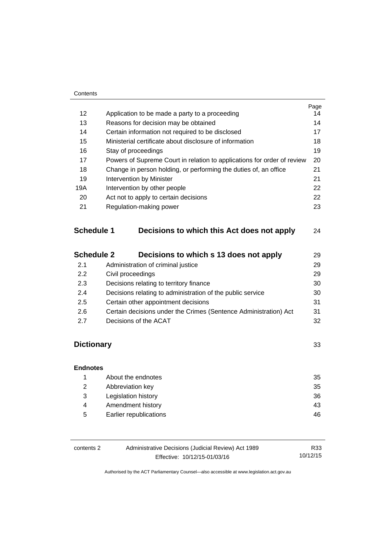#### **Contents**

|                   |                                       |                                                                         | Page |  |
|-------------------|---------------------------------------|-------------------------------------------------------------------------|------|--|
| 12                |                                       | Application to be made a party to a proceeding                          | 14   |  |
| 13                |                                       | Reasons for decision may be obtained                                    | 14   |  |
| 14                |                                       | Certain information not required to be disclosed                        | 17   |  |
| 15                |                                       | Ministerial certificate about disclosure of information                 | 18   |  |
| 16                |                                       | Stay of proceedings                                                     | 19   |  |
| 17                |                                       | Powers of Supreme Court in relation to applications for order of review | 20   |  |
| 18                |                                       | Change in person holding, or performing the duties of, an office        | 21   |  |
| 19                |                                       | 21<br>Intervention by Minister                                          |      |  |
| 19A               |                                       | Intervention by other people                                            |      |  |
| 20                | Act not to apply to certain decisions |                                                                         | 22   |  |
| 21                |                                       | Regulation-making power                                                 | 23   |  |
| <b>Schedule 1</b> |                                       | Decisions to which this Act does not apply                              | 24   |  |
| <b>Schedule 2</b> |                                       | Decisions to which s 13 does not apply                                  | 29   |  |
| 21                |                                       | Administration of criminal justice                                      | 29   |  |

| <b>Z.I</b> | AUTHINSTRIUT OF CHINING ROUGH                                    | ∠ສ |
|------------|------------------------------------------------------------------|----|
| 2.2        | Civil proceedings                                                | 29 |
| 2.3        | Decisions relating to territory finance                          | 30 |
| 2.4        | Decisions relating to administration of the public service       | 30 |
| 2.5        | Certain other appointment decisions                              | 31 |
| 2.6        | Certain decisions under the Crimes (Sentence Administration) Act | 31 |
| 2.7        | Decisions of the ACAT                                            | 32 |
|            |                                                                  |    |

# **[Dictionary](#page-36-0)** [33](#page-36-0)

# **[Endnotes](#page-38-0)** 1 [About the endnotes 35](#page-38-1) 2 [Abbreviation key 35](#page-38-2) 3 [Legislation history 36](#page-39-0) 4 Amendment history **43** 5 [Earlier republications 46](#page-49-0)

| contents 2 | Administrative Decisions (Judicial Review) Act 1989 | R33      |
|------------|-----------------------------------------------------|----------|
|            | Effective: 10/12/15-01/03/16                        | 10/12/15 |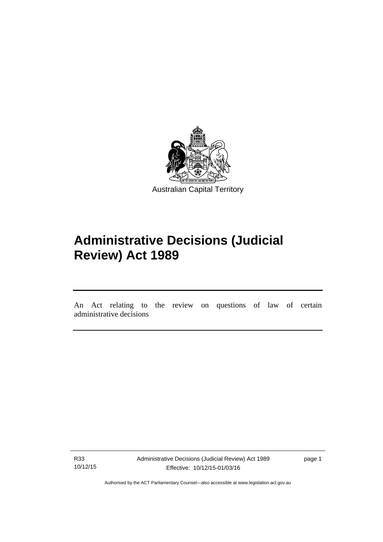

# **Administrative Decisions (Judicial Review) Act 1989**

An Act relating to the review on questions of law of certain administrative decisions

R33 10/12/15

l

Administrative Decisions (Judicial Review) Act 1989 Effective: 10/12/15-01/03/16

page 1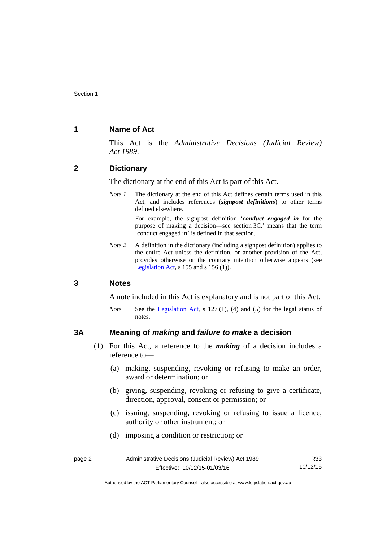# <span id="page-5-0"></span>**1 Name of Act**

This Act is the *Administrative Decisions (Judicial Review) Act 1989*.

# <span id="page-5-1"></span>**2 Dictionary**

The dictionary at the end of this Act is part of this Act.

*Note 1* The dictionary at the end of this Act defines certain terms used in this Act, and includes references (*signpost definitions*) to other terms defined elsewhere.

> For example, the signpost definition '*conduct engaged in* for the purpose of making a decision—see section 3C.' means that the term 'conduct engaged in' is defined in that section.

*Note 2* A definition in the dictionary (including a signpost definition) applies to the entire Act unless the definition, or another provision of the Act, provides otherwise or the contrary intention otherwise appears (see [Legislation Act,](http://www.legislation.act.gov.au/a/2001-14) s  $155$  and s  $156$  (1)).

### <span id="page-5-2"></span>**3 Notes**

A note included in this Act is explanatory and is not part of this Act.

*Note* See the [Legislation Act,](http://www.legislation.act.gov.au/a/2001-14) s 127 (1), (4) and (5) for the legal status of notes.

### <span id="page-5-3"></span>**3A Meaning of** *making* **and** *failure to make* **a decision**

- (1) For this Act, a reference to the *making* of a decision includes a reference to—
	- (a) making, suspending, revoking or refusing to make an order, award or determination; or
	- (b) giving, suspending, revoking or refusing to give a certificate, direction, approval, consent or permission; or
	- (c) issuing, suspending, revoking or refusing to issue a licence, authority or other instrument; or
	- (d) imposing a condition or restriction; or

| page 2 | Administrative Decisions (Judicial Review) Act 1989 | R33      |
|--------|-----------------------------------------------------|----------|
|        | Effective: 10/12/15-01/03/16                        | 10/12/15 |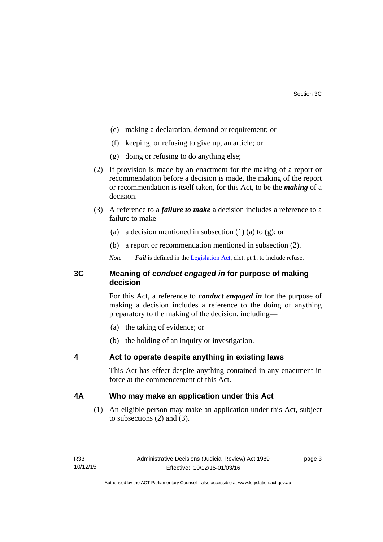- (e) making a declaration, demand or requirement; or
- (f) keeping, or refusing to give up, an article; or
- (g) doing or refusing to do anything else;
- (2) If provision is made by an enactment for the making of a report or recommendation before a decision is made, the making of the report or recommendation is itself taken, for this Act, to be the *making* of a decision.
- (3) A reference to a *failure to make* a decision includes a reference to a failure to make—
	- (a) a decision mentioned in subsection  $(1)$  (a) to  $(g)$ ; or
	- (b) a report or recommendation mentioned in subsection (2).
	- *Note Fail* is defined in the [Legislation Act](http://www.legislation.act.gov.au/a/2001-14), dict, pt 1, to include refuse.

# <span id="page-6-0"></span>**3C Meaning of** *conduct engaged in* **for purpose of making decision**

For this Act, a reference to *conduct engaged in* for the purpose of making a decision includes a reference to the doing of anything preparatory to the making of the decision, including—

- (a) the taking of evidence; or
- (b) the holding of an inquiry or investigation.

# <span id="page-6-1"></span>**4 Act to operate despite anything in existing laws**

This Act has effect despite anything contained in any enactment in force at the commencement of this Act.

# <span id="page-6-2"></span>**4A Who may make an application under this Act**

(1) An eligible person may make an application under this Act, subject to subsections (2) and (3).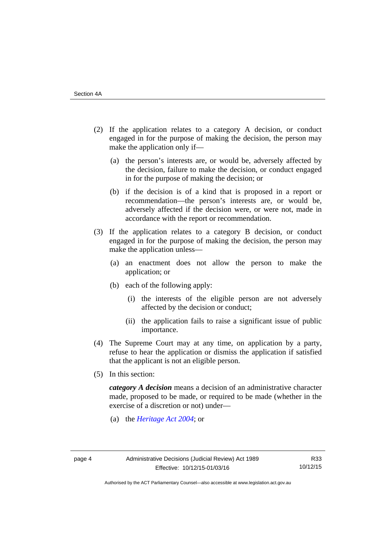- (2) If the application relates to a category A decision, or conduct engaged in for the purpose of making the decision, the person may make the application only if—
	- (a) the person's interests are, or would be, adversely affected by the decision, failure to make the decision, or conduct engaged in for the purpose of making the decision; or
	- (b) if the decision is of a kind that is proposed in a report or recommendation—the person's interests are, or would be, adversely affected if the decision were, or were not, made in accordance with the report or recommendation.
- (3) If the application relates to a category B decision, or conduct engaged in for the purpose of making the decision, the person may make the application unless—
	- (a) an enactment does not allow the person to make the application; or
	- (b) each of the following apply:
		- (i) the interests of the eligible person are not adversely affected by the decision or conduct;
		- (ii) the application fails to raise a significant issue of public importance.
- (4) The Supreme Court may at any time, on application by a party, refuse to hear the application or dismiss the application if satisfied that the applicant is not an eligible person.
- (5) In this section:

*category A decision* means a decision of an administrative character made, proposed to be made, or required to be made (whether in the exercise of a discretion or not) under—

(a) the *[Heritage Act 2004](http://www.legislation.act.gov.au/a/2004-57/default.asp)*; or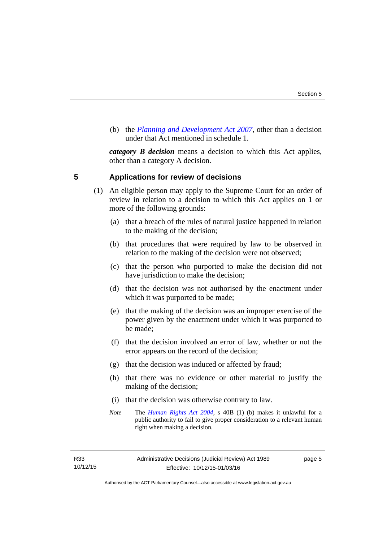(b) the *[Planning and Development Act 2007](http://www.legislation.act.gov.au/a/2007-24/default.asp)*, other than a decision under that Act mentioned in schedule 1.

*category B decision* means a decision to which this Act applies, other than a category A decision.

### <span id="page-8-0"></span>**5 Applications for review of decisions**

- (1) An eligible person may apply to the Supreme Court for an order of review in relation to a decision to which this Act applies on 1 or more of the following grounds:
	- (a) that a breach of the rules of natural justice happened in relation to the making of the decision;
	- (b) that procedures that were required by law to be observed in relation to the making of the decision were not observed;
	- (c) that the person who purported to make the decision did not have jurisdiction to make the decision;
	- (d) that the decision was not authorised by the enactment under which it was purported to be made;
	- (e) that the making of the decision was an improper exercise of the power given by the enactment under which it was purported to be made;
	- (f) that the decision involved an error of law, whether or not the error appears on the record of the decision;
	- (g) that the decision was induced or affected by fraud;
	- (h) that there was no evidence or other material to justify the making of the decision;
	- (i) that the decision was otherwise contrary to law.
	- *Note* The *[Human Rights Act 2004](http://www.legislation.act.gov.au/a/2004-5)*, s 40B (1) (b) makes it unlawful for a public authority to fail to give proper consideration to a relevant human right when making a decision.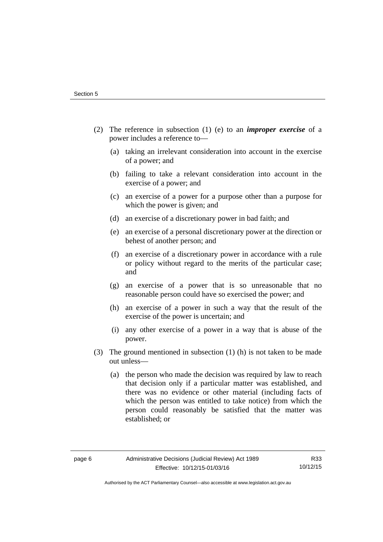- (2) The reference in subsection (1) (e) to an *improper exercise* of a power includes a reference to—
	- (a) taking an irrelevant consideration into account in the exercise of a power; and
	- (b) failing to take a relevant consideration into account in the exercise of a power; and
	- (c) an exercise of a power for a purpose other than a purpose for which the power is given; and
	- (d) an exercise of a discretionary power in bad faith; and
	- (e) an exercise of a personal discretionary power at the direction or behest of another person; and
	- (f) an exercise of a discretionary power in accordance with a rule or policy without regard to the merits of the particular case; and
	- (g) an exercise of a power that is so unreasonable that no reasonable person could have so exercised the power; and
	- (h) an exercise of a power in such a way that the result of the exercise of the power is uncertain; and
	- (i) any other exercise of a power in a way that is abuse of the power.
- (3) The ground mentioned in subsection (1) (h) is not taken to be made out unless—
	- (a) the person who made the decision was required by law to reach that decision only if a particular matter was established, and there was no evidence or other material (including facts of which the person was entitled to take notice) from which the person could reasonably be satisfied that the matter was established; or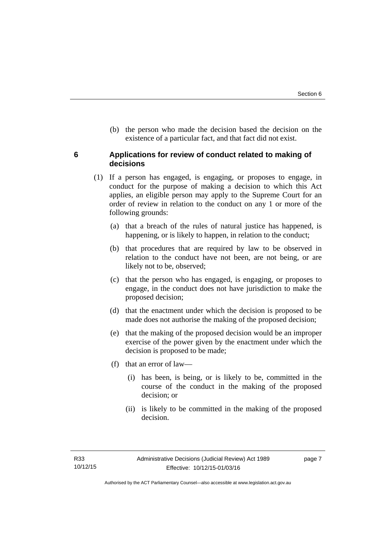(b) the person who made the decision based the decision on the existence of a particular fact, and that fact did not exist.

# <span id="page-10-0"></span>**6 Applications for review of conduct related to making of decisions**

- (1) If a person has engaged, is engaging, or proposes to engage, in conduct for the purpose of making a decision to which this Act applies, an eligible person may apply to the Supreme Court for an order of review in relation to the conduct on any 1 or more of the following grounds:
	- (a) that a breach of the rules of natural justice has happened, is happening, or is likely to happen, in relation to the conduct;
	- (b) that procedures that are required by law to be observed in relation to the conduct have not been, are not being, or are likely not to be, observed;
	- (c) that the person who has engaged, is engaging, or proposes to engage, in the conduct does not have jurisdiction to make the proposed decision;
	- (d) that the enactment under which the decision is proposed to be made does not authorise the making of the proposed decision;
	- (e) that the making of the proposed decision would be an improper exercise of the power given by the enactment under which the decision is proposed to be made;
	- (f) that an error of law—
		- (i) has been, is being, or is likely to be, committed in the course of the conduct in the making of the proposed decision; or
		- (ii) is likely to be committed in the making of the proposed decision.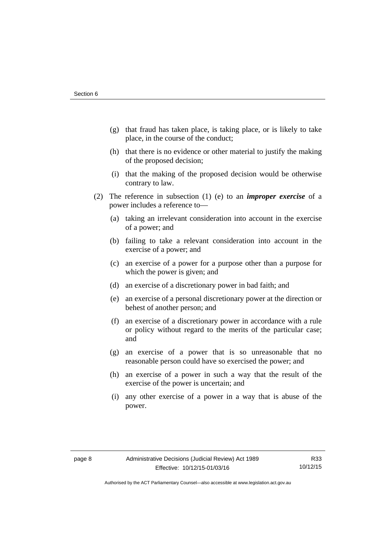- (g) that fraud has taken place, is taking place, or is likely to take place, in the course of the conduct;
- (h) that there is no evidence or other material to justify the making of the proposed decision;
- (i) that the making of the proposed decision would be otherwise contrary to law.
- (2) The reference in subsection (1) (e) to an *improper exercise* of a power includes a reference to—
	- (a) taking an irrelevant consideration into account in the exercise of a power; and
	- (b) failing to take a relevant consideration into account in the exercise of a power; and
	- (c) an exercise of a power for a purpose other than a purpose for which the power is given; and
	- (d) an exercise of a discretionary power in bad faith; and
	- (e) an exercise of a personal discretionary power at the direction or behest of another person; and
	- (f) an exercise of a discretionary power in accordance with a rule or policy without regard to the merits of the particular case; and
	- (g) an exercise of a power that is so unreasonable that no reasonable person could have so exercised the power; and
	- (h) an exercise of a power in such a way that the result of the exercise of the power is uncertain; and
	- (i) any other exercise of a power in a way that is abuse of the power.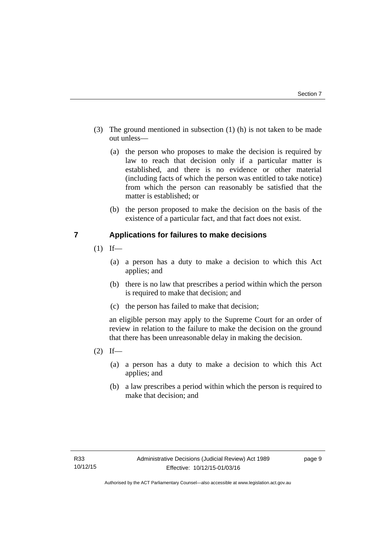- (3) The ground mentioned in subsection (1) (h) is not taken to be made out unless—
	- (a) the person who proposes to make the decision is required by law to reach that decision only if a particular matter is established, and there is no evidence or other material (including facts of which the person was entitled to take notice) from which the person can reasonably be satisfied that the matter is established; or
	- (b) the person proposed to make the decision on the basis of the existence of a particular fact, and that fact does not exist.

# <span id="page-12-0"></span>**7 Applications for failures to make decisions**

- $(1)$  If—
	- (a) a person has a duty to make a decision to which this Act applies; and
	- (b) there is no law that prescribes a period within which the person is required to make that decision; and
	- (c) the person has failed to make that decision;

an eligible person may apply to the Supreme Court for an order of review in relation to the failure to make the decision on the ground that there has been unreasonable delay in making the decision.

- $(2)$  If—
	- (a) a person has a duty to make a decision to which this Act applies; and
	- (b) a law prescribes a period within which the person is required to make that decision; and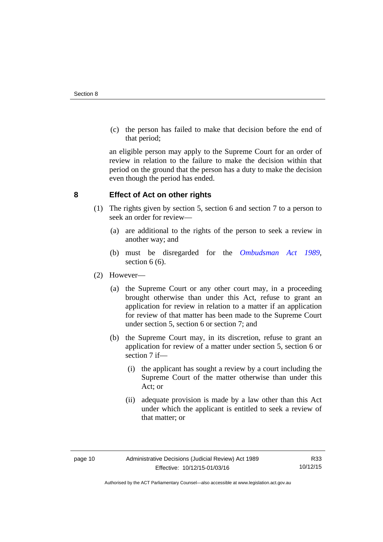(c) the person has failed to make that decision before the end of that period;

an eligible person may apply to the Supreme Court for an order of review in relation to the failure to make the decision within that period on the ground that the person has a duty to make the decision even though the period has ended.

# <span id="page-13-0"></span>**8 Effect of Act on other rights**

- (1) The rights given by section 5, section 6 and section 7 to a person to seek an order for review—
	- (a) are additional to the rights of the person to seek a review in another way; and
	- (b) must be disregarded for the *[Ombudsman Act 1989](http://www.legislation.act.gov.au/a/alt_a1989-45co)*, section 6 (6).
- (2) However—
	- (a) the Supreme Court or any other court may, in a proceeding brought otherwise than under this Act, refuse to grant an application for review in relation to a matter if an application for review of that matter has been made to the Supreme Court under section 5, section 6 or section 7; and
	- (b) the Supreme Court may, in its discretion, refuse to grant an application for review of a matter under section 5, section 6 or section 7 if—
		- (i) the applicant has sought a review by a court including the Supreme Court of the matter otherwise than under this Act; or
		- (ii) adequate provision is made by a law other than this Act under which the applicant is entitled to seek a review of that matter; or

Authorised by the ACT Parliamentary Counsel—also accessible at www.legislation.act.gov.au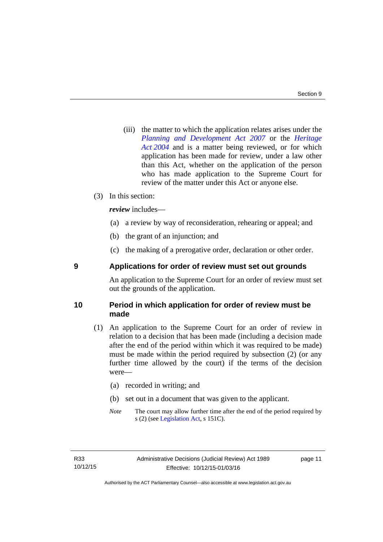(iii) the matter to which the application relates arises under the *[Planning and Development Act 2007](http://www.legislation.act.gov.au/a/2007-24)* or the *[Heritage](http://www.legislation.act.gov.au/a/2004-57)  [Act 2004](http://www.legislation.act.gov.au/a/2004-57)* and is a matter being reviewed, or for which application has been made for review, under a law other than this Act, whether on the application of the person who has made application to the Supreme Court for review of the matter under this Act or anyone else.

### (3) In this section:

*review* includes—

- (a) a review by way of reconsideration, rehearing or appeal; and
- (b) the grant of an injunction; and
- (c) the making of a prerogative order, declaration or other order.

# <span id="page-14-0"></span>**9 Applications for order of review must set out grounds**

An application to the Supreme Court for an order of review must set out the grounds of the application.

# <span id="page-14-1"></span>**10 Period in which application for order of review must be made**

- (1) An application to the Supreme Court for an order of review in relation to a decision that has been made (including a decision made after the end of the period within which it was required to be made) must be made within the period required by subsection (2) (or any further time allowed by the court) if the terms of the decision were—
	- (a) recorded in writing; and
	- (b) set out in a document that was given to the applicant.
	- *Note* The court may allow further time after the end of the period required by s (2) (see [Legislation Act](http://www.legislation.act.gov.au/a/2001-14), s 151C).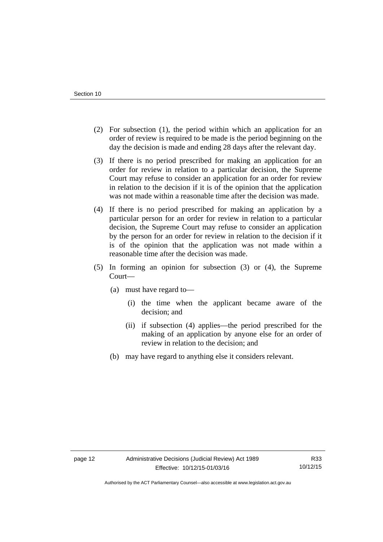- (2) For subsection (1), the period within which an application for an order of review is required to be made is the period beginning on the day the decision is made and ending 28 days after the relevant day.
- (3) If there is no period prescribed for making an application for an order for review in relation to a particular decision, the Supreme Court may refuse to consider an application for an order for review in relation to the decision if it is of the opinion that the application was not made within a reasonable time after the decision was made.
- (4) If there is no period prescribed for making an application by a particular person for an order for review in relation to a particular decision, the Supreme Court may refuse to consider an application by the person for an order for review in relation to the decision if it is of the opinion that the application was not made within a reasonable time after the decision was made.
- (5) In forming an opinion for subsection (3) or (4), the Supreme Court—
	- (a) must have regard to—
		- (i) the time when the applicant became aware of the decision; and
		- (ii) if subsection (4) applies—the period prescribed for the making of an application by anyone else for an order of review in relation to the decision; and
	- (b) may have regard to anything else it considers relevant.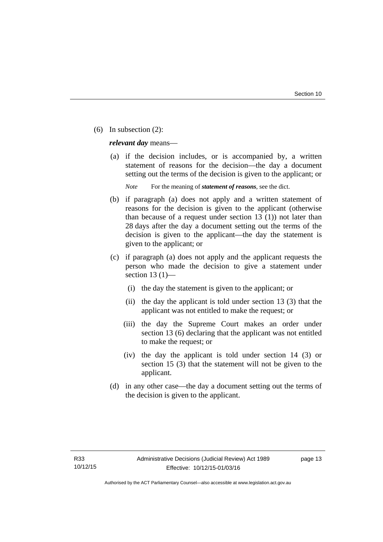(6) In subsection (2):

*relevant day* means—

 (a) if the decision includes, or is accompanied by, a written statement of reasons for the decision—the day a document setting out the terms of the decision is given to the applicant; or

*Note* For the meaning of *statement of reasons*, see the dict.

- (b) if paragraph (a) does not apply and a written statement of reasons for the decision is given to the applicant (otherwise than because of a request under section 13 (1)) not later than 28 days after the day a document setting out the terms of the decision is given to the applicant—the day the statement is given to the applicant; or
- (c) if paragraph (a) does not apply and the applicant requests the person who made the decision to give a statement under section 13 $(1)$ —
	- (i) the day the statement is given to the applicant; or
	- (ii) the day the applicant is told under section 13 (3) that the applicant was not entitled to make the request; or
	- (iii) the day the Supreme Court makes an order under section 13 (6) declaring that the applicant was not entitled to make the request; or
	- (iv) the day the applicant is told under section 14 (3) or section 15 (3) that the statement will not be given to the applicant.
- (d) in any other case—the day a document setting out the terms of the decision is given to the applicant.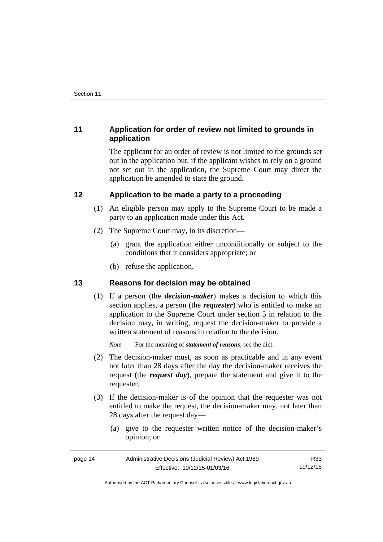# <span id="page-17-0"></span>**11 Application for order of review not limited to grounds in application**

The applicant for an order of review is not limited to the grounds set out in the application but, if the applicant wishes to rely on a ground not set out in the application, the Supreme Court may direct the application be amended to state the ground.

# <span id="page-17-1"></span>**12 Application to be made a party to a proceeding**

- (1) An eligible person may apply to the Supreme Court to be made a party to an application made under this Act.
- (2) The Supreme Court may, in its discretion—
	- (a) grant the application either unconditionally or subject to the conditions that it considers appropriate; or
	- (b) refuse the application.

# <span id="page-17-2"></span>**13 Reasons for decision may be obtained**

(1) If a person (the *decision-maker*) makes a decision to which this section applies, a person (the *requester*) who is entitled to make an application to the Supreme Court under section 5 in relation to the decision may, in writing, request the decision-maker to provide a written statement of reasons in relation to the decision.

*Note* For the meaning of *statement of reasons*, see the dict.

- (2) The decision-maker must, as soon as practicable and in any event not later than 28 days after the day the decision-maker receives the request (the *request day*), prepare the statement and give it to the requester.
- (3) If the decision-maker is of the opinion that the requester was not entitled to make the request, the decision-maker may, not later than 28 days after the request day—
	- (a) give to the requester written notice of the decision-maker's opinion; or

| page 14 | Administrative Decisions (Judicial Review) Act 1989 | R33      |
|---------|-----------------------------------------------------|----------|
|         | Effective: 10/12/15-01/03/16                        | 10/12/15 |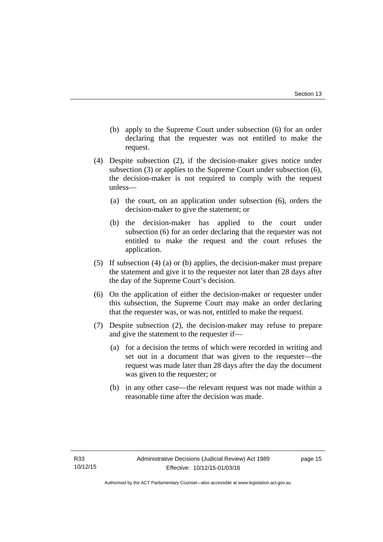- (b) apply to the Supreme Court under subsection (6) for an order declaring that the requester was not entitled to make the request.
- (4) Despite subsection (2), if the decision-maker gives notice under subsection (3) or applies to the Supreme Court under subsection (6), the decision-maker is not required to comply with the request unless—
	- (a) the court, on an application under subsection (6), orders the decision-maker to give the statement; or
	- (b) the decision-maker has applied to the court under subsection (6) for an order declaring that the requester was not entitled to make the request and the court refuses the application.
- (5) If subsection (4) (a) or (b) applies, the decision-maker must prepare the statement and give it to the requester not later than 28 days after the day of the Supreme Court's decision.
- (6) On the application of either the decision-maker or requester under this subsection, the Supreme Court may make an order declaring that the requester was, or was not, entitled to make the request.
- (7) Despite subsection (2), the decision-maker may refuse to prepare and give the statement to the requester if—
	- (a) for a decision the terms of which were recorded in writing and set out in a document that was given to the requester—the request was made later than 28 days after the day the document was given to the requester; or
	- (b) in any other case—the relevant request was not made within a reasonable time after the decision was made.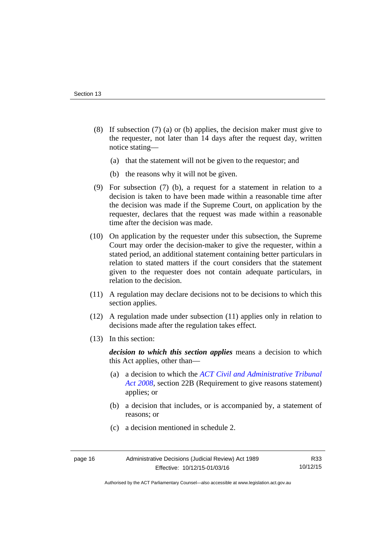- (8) If subsection (7) (a) or (b) applies, the decision maker must give to the requester, not later than 14 days after the request day, written notice stating—
	- (a) that the statement will not be given to the requestor; and
	- (b) the reasons why it will not be given.
- (9) For subsection (7) (b), a request for a statement in relation to a decision is taken to have been made within a reasonable time after the decision was made if the Supreme Court, on application by the requester, declares that the request was made within a reasonable time after the decision was made.
- (10) On application by the requester under this subsection, the Supreme Court may order the decision-maker to give the requester, within a stated period, an additional statement containing better particulars in relation to stated matters if the court considers that the statement given to the requester does not contain adequate particulars, in relation to the decision.
- (11) A regulation may declare decisions not to be decisions to which this section applies.
- (12) A regulation made under subsection (11) applies only in relation to decisions made after the regulation takes effect.
- (13) In this section:

*decision to which this section applies* means a decision to which this Act applies, other than—

- (a) a decision to which the *[ACT Civil and Administrative Tribunal](http://www.legislation.act.gov.au/a/2008-35)  [Act 2008](http://www.legislation.act.gov.au/a/2008-35)*, section 22B (Requirement to give reasons statement) applies; or
- (b) a decision that includes, or is accompanied by, a statement of reasons; or
- (c) a decision mentioned in schedule 2.

Authorised by the ACT Parliamentary Counsel—also accessible at www.legislation.act.gov.au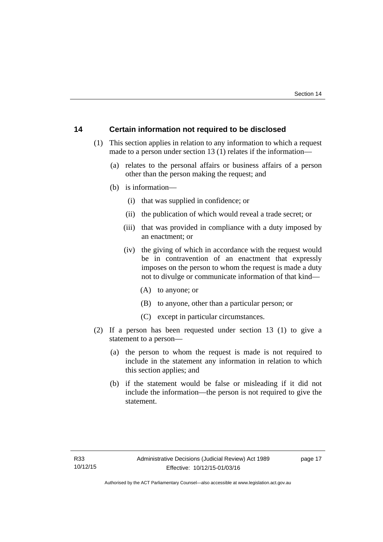# <span id="page-20-0"></span>**14 Certain information not required to be disclosed**

- (1) This section applies in relation to any information to which a request made to a person under section 13 (1) relates if the information—
	- (a) relates to the personal affairs or business affairs of a person other than the person making the request; and
	- (b) is information—
		- (i) that was supplied in confidence; or
		- (ii) the publication of which would reveal a trade secret; or
		- (iii) that was provided in compliance with a duty imposed by an enactment; or
		- (iv) the giving of which in accordance with the request would be in contravention of an enactment that expressly imposes on the person to whom the request is made a duty not to divulge or communicate information of that kind—
			- (A) to anyone; or
			- (B) to anyone, other than a particular person; or
			- (C) except in particular circumstances.
- (2) If a person has been requested under section 13 (1) to give a statement to a person—
	- (a) the person to whom the request is made is not required to include in the statement any information in relation to which this section applies; and
	- (b) if the statement would be false or misleading if it did not include the information—the person is not required to give the statement.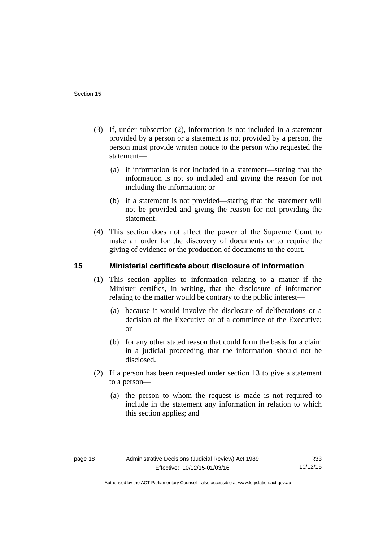- (3) If, under subsection (2), information is not included in a statement provided by a person or a statement is not provided by a person, the person must provide written notice to the person who requested the statement—
	- (a) if information is not included in a statement—stating that the information is not so included and giving the reason for not including the information; or
	- (b) if a statement is not provided—stating that the statement will not be provided and giving the reason for not providing the statement.
- (4) This section does not affect the power of the Supreme Court to make an order for the discovery of documents or to require the giving of evidence or the production of documents to the court.

# <span id="page-21-0"></span>**15 Ministerial certificate about disclosure of information**

- (1) This section applies to information relating to a matter if the Minister certifies, in writing, that the disclosure of information relating to the matter would be contrary to the public interest—
	- (a) because it would involve the disclosure of deliberations or a decision of the Executive or of a committee of the Executive; or
	- (b) for any other stated reason that could form the basis for a claim in a judicial proceeding that the information should not be disclosed.
- (2) If a person has been requested under section 13 to give a statement to a person—
	- (a) the person to whom the request is made is not required to include in the statement any information in relation to which this section applies; and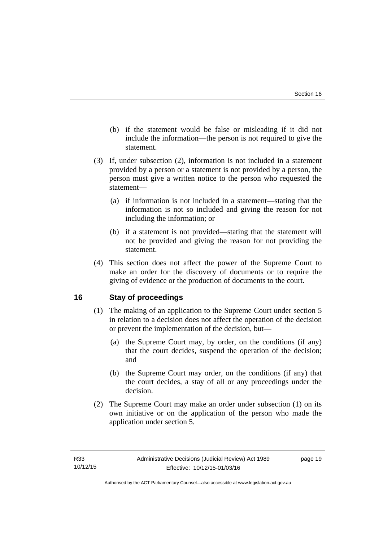- (b) if the statement would be false or misleading if it did not include the information—the person is not required to give the statement.
- (3) If, under subsection (2), information is not included in a statement provided by a person or a statement is not provided by a person, the person must give a written notice to the person who requested the statement—
	- (a) if information is not included in a statement—stating that the information is not so included and giving the reason for not including the information; or
	- (b) if a statement is not provided—stating that the statement will not be provided and giving the reason for not providing the statement.
- (4) This section does not affect the power of the Supreme Court to make an order for the discovery of documents or to require the giving of evidence or the production of documents to the court.

# <span id="page-22-0"></span>**16 Stay of proceedings**

- (1) The making of an application to the Supreme Court under section 5 in relation to a decision does not affect the operation of the decision or prevent the implementation of the decision, but—
	- (a) the Supreme Court may, by order, on the conditions (if any) that the court decides, suspend the operation of the decision; and
	- (b) the Supreme Court may order, on the conditions (if any) that the court decides, a stay of all or any proceedings under the decision.
- (2) The Supreme Court may make an order under subsection (1) on its own initiative or on the application of the person who made the application under section 5.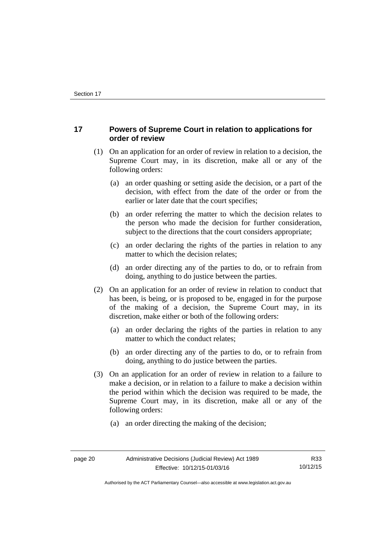# <span id="page-23-0"></span>**17 Powers of Supreme Court in relation to applications for order of review**

- (1) On an application for an order of review in relation to a decision, the Supreme Court may, in its discretion, make all or any of the following orders:
	- (a) an order quashing or setting aside the decision, or a part of the decision, with effect from the date of the order or from the earlier or later date that the court specifies;
	- (b) an order referring the matter to which the decision relates to the person who made the decision for further consideration, subject to the directions that the court considers appropriate;
	- (c) an order declaring the rights of the parties in relation to any matter to which the decision relates;
	- (d) an order directing any of the parties to do, or to refrain from doing, anything to do justice between the parties.
- (2) On an application for an order of review in relation to conduct that has been, is being, or is proposed to be, engaged in for the purpose of the making of a decision, the Supreme Court may, in its discretion, make either or both of the following orders:
	- (a) an order declaring the rights of the parties in relation to any matter to which the conduct relates;
	- (b) an order directing any of the parties to do, or to refrain from doing, anything to do justice between the parties.
- (3) On an application for an order of review in relation to a failure to make a decision, or in relation to a failure to make a decision within the period within which the decision was required to be made, the Supreme Court may, in its discretion, make all or any of the following orders:
	- (a) an order directing the making of the decision;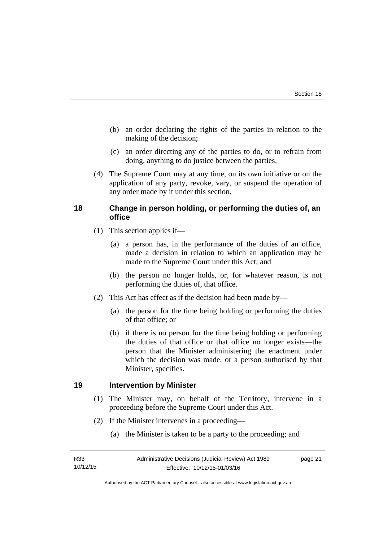- (b) an order declaring the rights of the parties in relation to the making of the decision;
- (c) an order directing any of the parties to do, or to refrain from doing, anything to do justice between the parties.
- (4) The Supreme Court may at any time, on its own initiative or on the application of any party, revoke, vary, or suspend the operation of any order made by it under this section.

# <span id="page-24-0"></span>**18 Change in person holding, or performing the duties of, an office**

- (1) This section applies if—
	- (a) a person has, in the performance of the duties of an office, made a decision in relation to which an application may be made to the Supreme Court under this Act; and
	- (b) the person no longer holds, or, for whatever reason, is not performing the duties of, that office.
- (2) This Act has effect as if the decision had been made by—
	- (a) the person for the time being holding or performing the duties of that office; or
	- (b) if there is no person for the time being holding or performing the duties of that office or that office no longer exists—the person that the Minister administering the enactment under which the decision was made, or a person authorised by that Minister, specifies.

# <span id="page-24-1"></span>**19 Intervention by Minister**

- (1) The Minister may, on behalf of the Territory, intervene in a proceeding before the Supreme Court under this Act.
- (2) If the Minister intervenes in a proceeding—
	- (a) the Minister is taken to be a party to the proceeding; and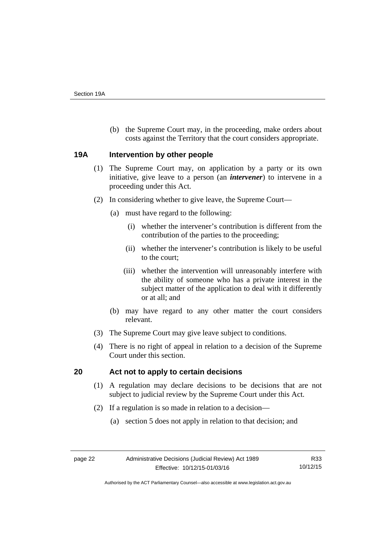(b) the Supreme Court may, in the proceeding, make orders about costs against the Territory that the court considers appropriate.

### <span id="page-25-0"></span>**19A Intervention by other people**

- (1) The Supreme Court may, on application by a party or its own initiative, give leave to a person (an *intervener*) to intervene in a proceeding under this Act.
- (2) In considering whether to give leave, the Supreme Court—
	- (a) must have regard to the following:
		- (i) whether the intervener's contribution is different from the contribution of the parties to the proceeding;
		- (ii) whether the intervener's contribution is likely to be useful to the court;
		- (iii) whether the intervention will unreasonably interfere with the ability of someone who has a private interest in the subject matter of the application to deal with it differently or at all; and
	- (b) may have regard to any other matter the court considers relevant.
- (3) The Supreme Court may give leave subject to conditions.
- (4) There is no right of appeal in relation to a decision of the Supreme Court under this section.

# <span id="page-25-1"></span>**20 Act not to apply to certain decisions**

- (1) A regulation may declare decisions to be decisions that are not subject to judicial review by the Supreme Court under this Act.
- (2) If a regulation is so made in relation to a decision—
	- (a) section 5 does not apply in relation to that decision; and

Authorised by the ACT Parliamentary Counsel—also accessible at www.legislation.act.gov.au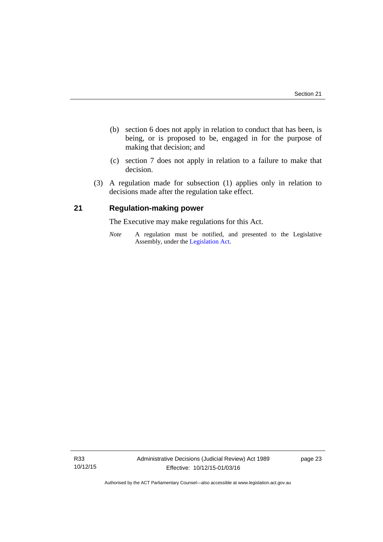- (b) section 6 does not apply in relation to conduct that has been, is being, or is proposed to be, engaged in for the purpose of making that decision; and
- (c) section 7 does not apply in relation to a failure to make that decision.
- (3) A regulation made for subsection (1) applies only in relation to decisions made after the regulation take effect.

# <span id="page-26-0"></span>**21 Regulation-making power**

The Executive may make regulations for this Act.

*Note* A regulation must be notified, and presented to the Legislative Assembly, under the [Legislation Act](http://www.legislation.act.gov.au/a/2001-14).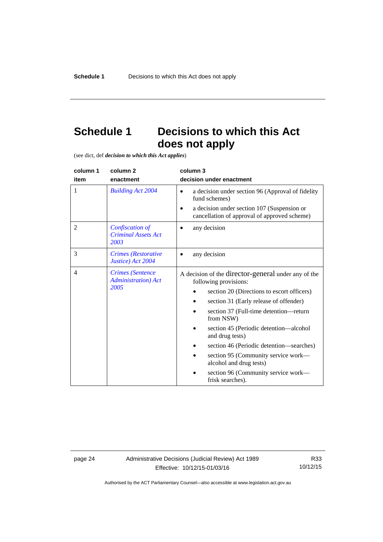# <span id="page-27-0"></span>**Schedule 1 Decisions to which this Act does not apply**

(see dict, def *decision to which this Act applies*)

| column 1       | column 2                                                       | column 3                                                                                                                                                                                                                                                                                                                                                                                                                                                          |
|----------------|----------------------------------------------------------------|-------------------------------------------------------------------------------------------------------------------------------------------------------------------------------------------------------------------------------------------------------------------------------------------------------------------------------------------------------------------------------------------------------------------------------------------------------------------|
| item           | enactment                                                      | decision under enactment                                                                                                                                                                                                                                                                                                                                                                                                                                          |
| 1              | <b>Building Act 2004</b>                                       | a decision under section 96 (Approval of fidelity<br>$\bullet$<br>fund schemes)<br>a decision under section 107 (Suspension or<br>cancellation of approval of approved scheme)                                                                                                                                                                                                                                                                                    |
| $\overline{2}$ | Confiscation of<br><b>Criminal Assets Act</b><br>2003          | any decision                                                                                                                                                                                                                                                                                                                                                                                                                                                      |
| 3              | Crimes (Restorative<br>Justice) Act 2004                       | any decision                                                                                                                                                                                                                                                                                                                                                                                                                                                      |
| $\overline{4}$ | <b>Crimes</b> (Sentence<br><b>Administration</b> ) Act<br>2005 | A decision of the director-general under any of the<br>following provisions:<br>section 20 (Directions to escort officers)<br>section 31 (Early release of offender)<br>section 37 (Full-time detention—return<br>from NSW)<br>section 45 (Periodic detention—alcohol<br>and drug tests)<br>section 46 (Periodic detention—searches)<br>section 95 (Community service work—<br>alcohol and drug tests)<br>section 96 (Community service work-<br>frisk searches). |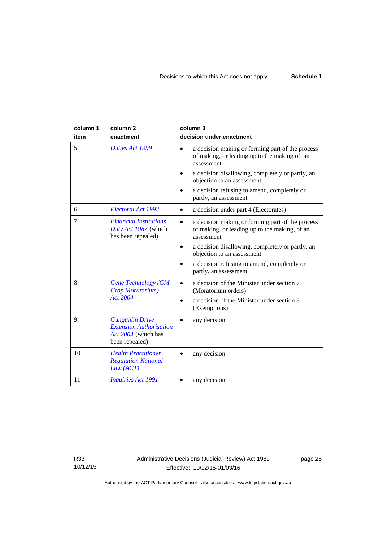| column 1<br>item | column <sub>2</sub><br>enactment                                                                  | column 3<br>decision under enactment                                                                                         |
|------------------|---------------------------------------------------------------------------------------------------|------------------------------------------------------------------------------------------------------------------------------|
| 5                | Duties Act 1999                                                                                   | a decision making or forming part of the process<br>$\bullet$<br>of making, or leading up to the making of, an<br>assessment |
|                  |                                                                                                   | a decision disallowing, completely or partly, an<br>objection to an assessment                                               |
|                  |                                                                                                   | a decision refusing to amend, completely or<br>partly, an assessment                                                         |
| 6                | Electoral Act 1992                                                                                | a decision under part 4 (Electorates)<br>$\bullet$                                                                           |
| 7                | <b>Financial Institutions</b><br>Duty Act 1987 (which<br>has been repealed)                       | a decision making or forming part of the process<br>$\bullet$<br>of making, or leading up to the making, of an<br>assessment |
|                  |                                                                                                   | a decision disallowing, completely or partly, an<br>٠<br>objection to an assessment                                          |
|                  |                                                                                                   | a decision refusing to amend, completely or<br>partly, an assessment                                                         |
| 8                | <b>Gene Technology (GM</b><br>Crop Moratorium)                                                    | a decision of the Minister under section 7<br>(Moratorium orders)                                                            |
|                  | <b>Act 2004</b>                                                                                   | a decision of the Minister under section 8<br>٠<br>(Exemptions)                                                              |
| 9                | <b>Gungahlin Drive</b><br><b>Extension Authorisation</b><br>Act 2004 (which has<br>been repealed) | any decision                                                                                                                 |
| 10               | <b>Health Practitioner</b><br><b>Regulation National</b><br>Law (ACT)                             | any decision                                                                                                                 |
| 11               | <b>Inquiries Act 1991</b>                                                                         | any decision                                                                                                                 |

R33 10/12/15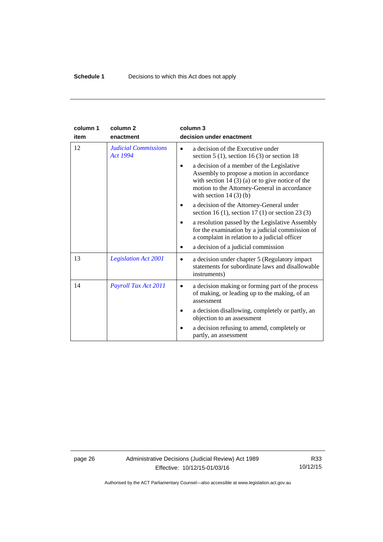| column 1 | column <sub>2</sub>                            | column 3                                                                                                                                                                                                               |
|----------|------------------------------------------------|------------------------------------------------------------------------------------------------------------------------------------------------------------------------------------------------------------------------|
| item     | enactment                                      | decision under enactment                                                                                                                                                                                               |
| 12       | <b>Judicial Commissions</b><br><b>Act 1994</b> | a decision of the Executive under<br>section $5(1)$ , section $16(3)$ or section 18                                                                                                                                    |
|          |                                                | a decision of a member of the Legislative<br>Assembly to propose a motion in accordance<br>with section $14(3)(a)$ or to give notice of the<br>motion to the Attorney-General in accordance<br>with section $14(3)(b)$ |
|          |                                                | a decision of the Attorney-General under<br>section 16 (1), section 17 (1) or section 23 (3)                                                                                                                           |
|          |                                                | a resolution passed by the Legislative Assembly<br>for the examination by a judicial commission of<br>a complaint in relation to a judicial officer                                                                    |
|          |                                                | a decision of a judicial commission                                                                                                                                                                                    |
| 13       | <b>Legislation Act 2001</b>                    | a decision under chapter 5 (Regulatory impact)<br>$\bullet$<br>statements for subordinate laws and disallowable<br>instruments)                                                                                        |
| 14       | Payroll Tax Act 2011                           | a decision making or forming part of the process<br>of making, or leading up to the making, of an<br>assessment                                                                                                        |
|          |                                                | a decision disallowing, completely or partly, an<br>objection to an assessment                                                                                                                                         |
|          |                                                | a decision refusing to amend, completely or<br>partly, an assessment                                                                                                                                                   |

page 26 Administrative Decisions (Judicial Review) Act 1989 Effective: 10/12/15-01/03/16

R33 10/12/15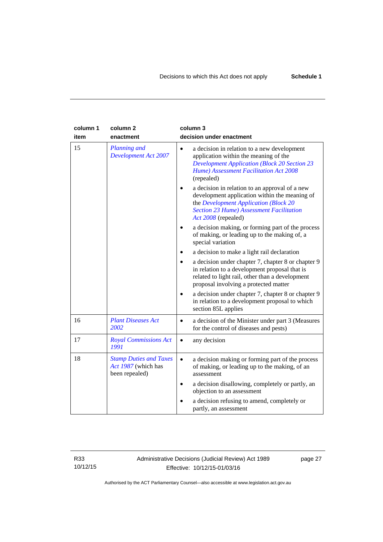| column 1<br>item | column <sub>2</sub><br>enactment                                       | column 3<br>decision under enactment                                                                                                                                                                               |
|------------------|------------------------------------------------------------------------|--------------------------------------------------------------------------------------------------------------------------------------------------------------------------------------------------------------------|
| 15               | Planning and<br><b>Development Act 2007</b>                            | a decision in relation to a new development<br>$\bullet$<br>application within the meaning of the<br><b>Development Application (Block 20 Section 23</b><br>Hume) Assessment Facilitation Act 2008<br>(repealed)   |
|                  |                                                                        | a decision in relation to an approval of a new<br>development application within the meaning of<br>the Development Application (Block 20<br><b>Section 23 Hume) Assessment Facilitation</b><br>Act 2008 (repealed) |
|                  |                                                                        | a decision making, or forming part of the process<br>of making, or leading up to the making of, a<br>special variation                                                                                             |
|                  |                                                                        | a decision to make a light rail declaration                                                                                                                                                                        |
|                  |                                                                        | a decision under chapter 7, chapter 8 or chapter 9<br>in relation to a development proposal that is<br>related to light rail, other than a development<br>proposal involving a protected matter                    |
|                  |                                                                        | a decision under chapter 7, chapter 8 or chapter 9<br>$\bullet$<br>in relation to a development proposal to which<br>section 85L applies                                                                           |
| 16               | <b>Plant Diseases Act</b><br>2002                                      | a decision of the Minister under part 3 (Measures<br>٠<br>for the control of diseases and pests)                                                                                                                   |
| 17               | <b>Royal Commissions Act</b><br>1991                                   | any decision                                                                                                                                                                                                       |
| 18               | <b>Stamp Duties and Taxes</b><br>Act 1987 (which has<br>been repealed) | a decision making or forming part of the process<br>$\bullet$<br>of making, or leading up to the making, of an<br>assessment                                                                                       |
|                  |                                                                        | a decision disallowing, completely or partly, an<br>objection to an assessment                                                                                                                                     |
|                  |                                                                        | a decision refusing to amend, completely or<br>partly, an assessment                                                                                                                                               |

R33 10/12/15 Administrative Decisions (Judicial Review) Act 1989 Effective: 10/12/15-01/03/16

page 27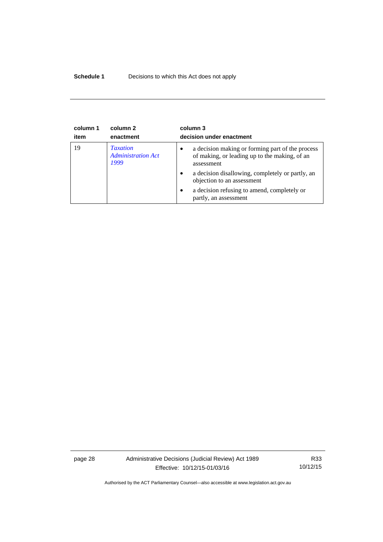# **Schedule 1** Decisions to which this Act does not apply

| column 1<br>item | column 2<br>enactment                                | column 3<br>decision under enactment                                                                                         |
|------------------|------------------------------------------------------|------------------------------------------------------------------------------------------------------------------------------|
| 19               | <b>Taxation</b><br><b>Administration Act</b><br>1999 | a decision making or forming part of the process<br>$\bullet$<br>of making, or leading up to the making, of an<br>assessment |
|                  |                                                      | a decision disallowing, completely or partly, an<br>$\bullet$<br>objection to an assessment                                  |
|                  |                                                      | a decision refusing to amend, completely or<br>$\bullet$<br>partly, an assessment                                            |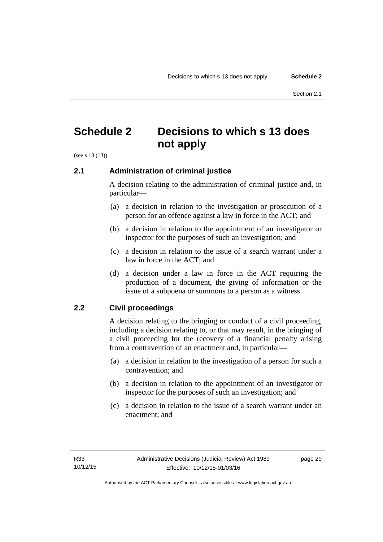# <span id="page-32-0"></span>**Schedule 2 Decisions to which s 13 does not apply**

(see s 13 (13))

# <span id="page-32-1"></span>**2.1 Administration of criminal justice**

A decision relating to the administration of criminal justice and, in particular—

- (a) a decision in relation to the investigation or prosecution of a person for an offence against a law in force in the ACT; and
- (b) a decision in relation to the appointment of an investigator or inspector for the purposes of such an investigation; and
- (c) a decision in relation to the issue of a search warrant under a law in force in the ACT; and
- (d) a decision under a law in force in the ACT requiring the production of a document, the giving of information or the issue of a subpoena or summons to a person as a witness.

# <span id="page-32-2"></span>**2.2 Civil proceedings**

A decision relating to the bringing or conduct of a civil proceeding, including a decision relating to, or that may result, in the bringing of a civil proceeding for the recovery of a financial penalty arising from a contravention of an enactment and, in particular—

- (a) a decision in relation to the investigation of a person for such a contravention; and
- (b) a decision in relation to the appointment of an investigator or inspector for the purposes of such an investigation; and
- (c) a decision in relation to the issue of a search warrant under an enactment; and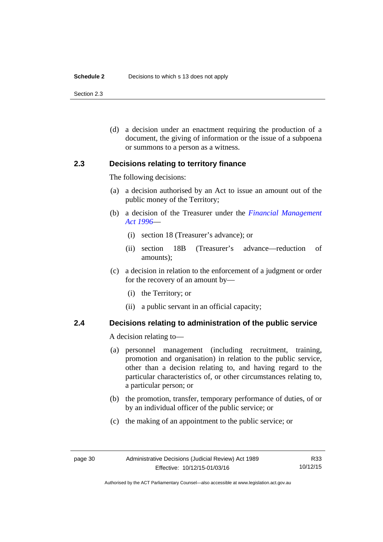#### **Schedule 2** Decisions to which s 13 does not apply

Section 2.3

 (d) a decision under an enactment requiring the production of a document, the giving of information or the issue of a subpoena or summons to a person as a witness.

# <span id="page-33-0"></span>**2.3 Decisions relating to territory finance**

The following decisions:

- (a) a decision authorised by an Act to issue an amount out of the public money of the Territory;
- (b) a decision of the Treasurer under the *[Financial Management](http://www.legislation.act.gov.au/a/1996-22)  [Act 1996](http://www.legislation.act.gov.au/a/1996-22)*—
	- (i) section 18 (Treasurer's advance); or
	- (ii) section 18B (Treasurer's advance—reduction of amounts);
- (c) a decision in relation to the enforcement of a judgment or order for the recovery of an amount by—
	- (i) the Territory; or
	- (ii) a public servant in an official capacity;

# <span id="page-33-1"></span>**2.4 Decisions relating to administration of the public service**

A decision relating to—

- (a) personnel management (including recruitment, training, promotion and organisation) in relation to the public service, other than a decision relating to, and having regard to the particular characteristics of, or other circumstances relating to, a particular person; or
- (b) the promotion, transfer, temporary performance of duties, of or by an individual officer of the public service; or
- (c) the making of an appointment to the public service; or

Authorised by the ACT Parliamentary Counsel—also accessible at www.legislation.act.gov.au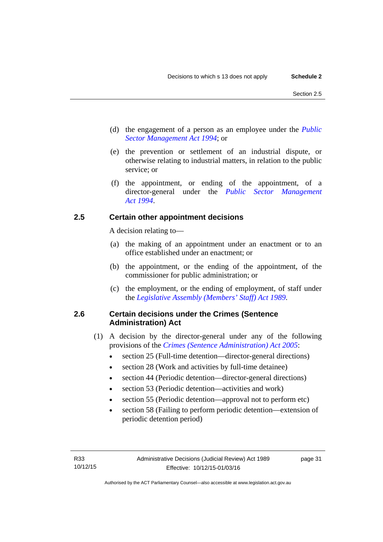- (d) the engagement of a person as an employee under the *[Public](http://www.legislation.act.gov.au/a/1994-37)  [Sector Management Act 1994](http://www.legislation.act.gov.au/a/1994-37)*; or
- (e) the prevention or settlement of an industrial dispute, or otherwise relating to industrial matters, in relation to the public service; or
- (f) the appointment, or ending of the appointment, of a director-general under the *[Public Sector Management](http://www.legislation.act.gov.au/a/1994-37)  [Act 1994](http://www.legislation.act.gov.au/a/1994-37)*.

# <span id="page-34-0"></span>**2.5 Certain other appointment decisions**

A decision relating to—

- (a) the making of an appointment under an enactment or to an office established under an enactment; or
- (b) the appointment, or the ending of the appointment, of the commissioner for public administration; or
- (c) the employment, or the ending of employment, of staff under the *[Legislative Assembly \(Members' Staff\) Act 1989](http://www.legislation.act.gov.au/a/1989-19)*.

# <span id="page-34-1"></span>**2.6 Certain decisions under the Crimes (Sentence Administration) Act**

- (1) A decision by the director-general under any of the following provisions of the *[Crimes \(Sentence Administration\) Act 2005](http://www.legislation.act.gov.au/a/2005-59)*:
	- section 25 (Full-time detention—director-general directions)
	- section 28 (Work and activities by full-time detainee)
	- section 44 (Periodic detention—director-general directions)
	- section 53 (Periodic detention—activities and work)
	- section 55 (Periodic detention—approval not to perform etc)
	- section 58 (Failing to perform periodic detention—extension of periodic detention period)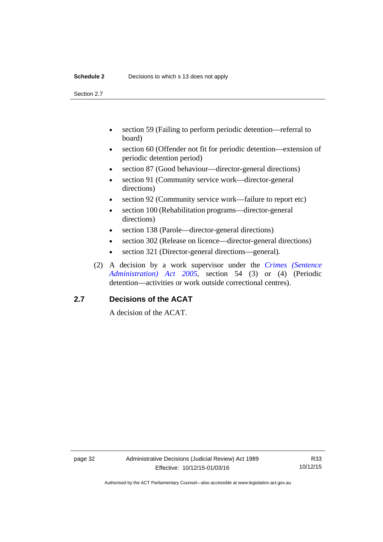#### **Schedule 2** Decisions to which s 13 does not apply

Section 2.7

- section 59 (Failing to perform periodic detention—referral to board)
- section 60 (Offender not fit for periodic detention—extension of periodic detention period)
- section 87 (Good behaviour—director-general directions)
- section 91 (Community service work—director-general directions)
- section 92 (Community service work—failure to report etc)
- section 100 (Rehabilitation programs—director-general directions)
- section 138 (Parole—director-general directions)
- section 302 (Release on licence—director-general directions)
- section 321 (Director-general directions—general).
- (2) A decision by a work supervisor under the *[Crimes \(Sentence](http://www.legislation.act.gov.au/a/2005-59)  [Administration\) Act 2005](http://www.legislation.act.gov.au/a/2005-59)*, section 54 (3) or (4) (Periodic detention—activities or work outside correctional centres).

# <span id="page-35-0"></span>**2.7 Decisions of the ACAT**

A decision of the ACAT.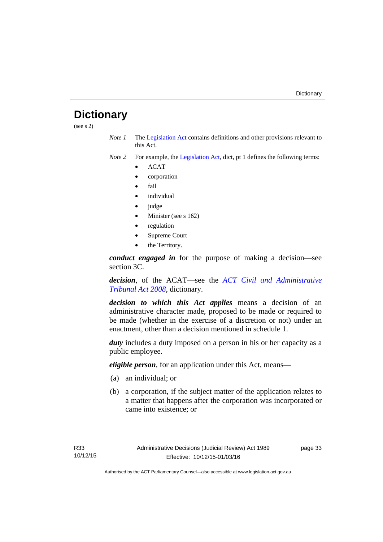# <span id="page-36-0"></span>**Dictionary**

(see s 2)

*Note 1* The [Legislation Act](http://www.legislation.act.gov.au/a/2001-14) contains definitions and other provisions relevant to this Act.

*Note 2* For example, the [Legislation Act,](http://www.legislation.act.gov.au/a/2001-14) dict, pt 1 defines the following terms:

- ACAT
- corporation
- fail
- *individual*
- judge
- Minister (see s 162)
- regulation
- Supreme Court
- the Territory.

*conduct engaged in* for the purpose of making a decision—see section 3C.

*decision*, of the ACAT—see the *[ACT Civil and Administrative](http://www.legislation.act.gov.au/a/2008-35)  [Tribunal Act 2008](http://www.legislation.act.gov.au/a/2008-35)*, dictionary.

*decision to which this Act applies* means a decision of an administrative character made, proposed to be made or required to be made (whether in the exercise of a discretion or not) under an enactment, other than a decision mentioned in schedule 1.

*duty* includes a duty imposed on a person in his or her capacity as a public employee.

*eligible person*, for an application under this Act, means—

- (a) an individual; or
- (b) a corporation, if the subject matter of the application relates to a matter that happens after the corporation was incorporated or came into existence; or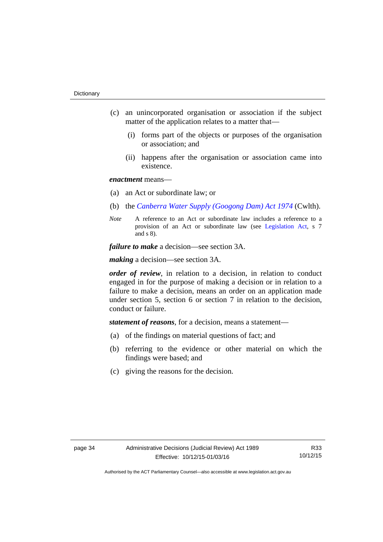- (c) an unincorporated organisation or association if the subject matter of the application relates to a matter that—
	- (i) forms part of the objects or purposes of the organisation or association; and
	- (ii) happens after the organisation or association came into existence.

### *enactment* means—

- (a) an Act or subordinate law; or
- (b) the *[Canberra Water Supply \(Googong Dam\) Act 1974](http://www.comlaw.gov.au/Details/C2008C00317)* (Cwlth).
- *Note* A reference to an Act or subordinate law includes a reference to a provision of an Act or subordinate law (see [Legislation Act](http://www.legislation.act.gov.au/a/2001-14), s 7 and s 8).

*failure to make* a decision—see section 3A.

*making* a decision—see section 3A.

*order of review*, in relation to a decision, in relation to conduct engaged in for the purpose of making a decision or in relation to a failure to make a decision, means an order on an application made under section 5, section 6 or section 7 in relation to the decision, conduct or failure.

*statement of reasons*, for a decision, means a statement—

- (a) of the findings on material questions of fact; and
- (b) referring to the evidence or other material on which the findings were based; and
- (c) giving the reasons for the decision.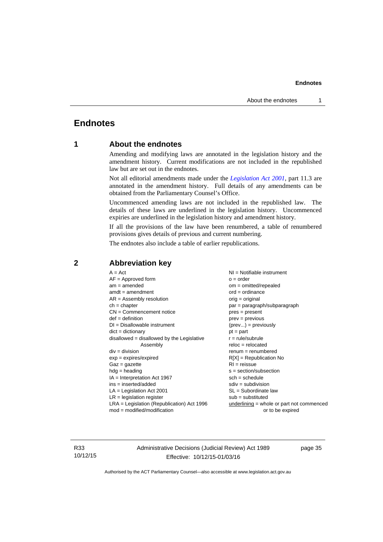# <span id="page-38-0"></span>**Endnotes**

# **1 About the endnotes**

Amending and modifying laws are annotated in the legislation history and the amendment history. Current modifications are not included in the republished law but are set out in the endnotes.

Not all editorial amendments made under the *[Legislation Act 2001](http://www.legislation.act.gov.au/a/2001-14)*, part 11.3 are annotated in the amendment history. Full details of any amendments can be obtained from the Parliamentary Counsel's Office.

Uncommenced amending laws are not included in the republished law. The details of these laws are underlined in the legislation history. Uncommenced expiries are underlined in the legislation history and amendment history.

If all the provisions of the law have been renumbered, a table of renumbered provisions gives details of previous and current numbering.

The endnotes also include a table of earlier republications.

| $A = Act$                                    | NI = Notifiable instrument                  |
|----------------------------------------------|---------------------------------------------|
| $AF =$ Approved form                         | $o = order$                                 |
| $am = amended$                               | om = omitted/repealed                       |
| $amdt = amendment$                           | $ord = ordinance$                           |
| $AR = Assembly resolution$                   | orig = original                             |
| $ch = chapter$                               | par = paragraph/subparagraph                |
| $CN =$ Commencement notice                   | $pres = present$                            |
| $def = definition$                           | $prev = previous$                           |
| $DI = Disallowable instrument$               | $(\text{prev}) = \text{previously}$         |
| $dict = dictionary$                          | $pt = part$                                 |
| $disallowed = disallowed by the Legislative$ | $r = rule/subrule$                          |
| Assembly                                     | $reloc = relocated$                         |
| $div = division$                             | $renum = renumbered$                        |
| $exp = expires/expired$                      | $R[X]$ = Republication No                   |
| $Gaz = gazette$                              | $RI =$ reissue                              |
| $hdg =$ heading                              | s = section/subsection                      |
| $IA = Interpretation Act 1967$               | $sch = schedule$                            |
| $ins = inserted/added$                       | $sdiv = subdivision$                        |
| $LA =$ Legislation Act 2001                  | $SL = Subordinate$ law                      |
| $LR =$ legislation register                  | $sub =$ substituted                         |
| $LRA =$ Legislation (Republication) Act 1996 | $underlining = whole or part not commenced$ |
| $mod = modified/modification$                | or to be expired                            |
|                                              |                                             |

### <span id="page-38-2"></span>**2 Abbreviation key**

R33 10/12/15 Administrative Decisions (Judicial Review) Act 1989 Effective: 10/12/15-01/03/16

page 35

<span id="page-38-1"></span>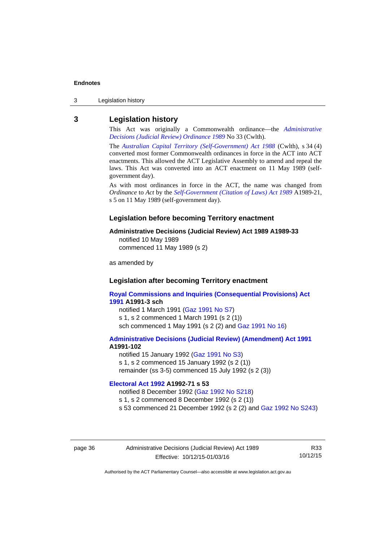3 Legislation history

#### <span id="page-39-0"></span>**3 Legislation history**

This Act was originally a Commonwealth ordinance—the *[Administrative](http://www.legislation.act.gov.au/a/alt_a1989-33co)  [Decisions \(Judicial Review\) Ordinance 1989](http://www.legislation.act.gov.au/a/alt_a1989-33co)* No 33 (Cwlth).

The *[Australian Capital Territory \(Self-Government\) Act 1988](http://www.comlaw.gov.au/Current/C2004A03699)* (Cwlth), s 34 (4) converted most former Commonwealth ordinances in force in the ACT into ACT enactments. This allowed the ACT Legislative Assembly to amend and repeal the laws. This Act was converted into an ACT enactment on 11 May 1989 (selfgovernment day).

As with most ordinances in force in the ACT, the name was changed from *Ordinance* to *Act* by the *[Self-Government \(Citation of Laws\) Act 1989](http://www.legislation.act.gov.au/a/alt_ord1989-21/default.asp)* A1989-21, s 5 on 11 May 1989 (self-government day).

#### **Legislation before becoming Territory enactment**

#### **Administrative Decisions (Judicial Review) Act 1989 A1989-33**

notified 10 May 1989 commenced 11 May 1989 (s 2)

as amended by

#### **Legislation after becoming Territory enactment**

**[Royal Commissions and Inquiries \(Consequential Provisions\) Act](http://www.legislation.act.gov.au/a/1991-3)  [1991](http://www.legislation.act.gov.au/a/1991-3) A1991-3 sch**  notified 1 March 1991 [\(Gaz 1991 No S7](http://www.legislation.act.gov.au/gaz/1991-S7/default.asp)) s 1, s 2 commenced 1 March 1991 (s 2 (1))

sch commenced 1 May 1991 (s 2 (2) and [Gaz 1991 No 16](http://www.legislation.act.gov.au/gaz/1991-16/default.asp))

#### **[Administrative Decisions \(Judicial Review\) \(Amendment\) Act 1991](http://www.legislation.act.gov.au/a/1991-102) A1991-102**

notified 15 January 1992 ([Gaz 1991 No S3\)](http://www.legislation.act.gov.au/gaz/1991-S3/default.asp) s 1, s 2 commenced 15 January 1992 (s 2 (1)) remainder (ss 3-5) commenced 15 July 1992 (s 2 (3))

### **[Electoral Act 1992](http://www.legislation.act.gov.au/a/1992-71) A1992-71 s 53**

notified 8 December 1992 ([Gaz 1992 No S218\)](http://www.legislation.act.gov.au/gaz/1992-S218/default.asp) s 1, s 2 commenced 8 December 1992 (s 2 (1)) s 53 commenced 21 December 1992 (s 2 (2) and [Gaz 1992 No S243\)](http://www.legislation.act.gov.au/gaz/1992-S243/default.asp)

page 36 Administrative Decisions (Judicial Review) Act 1989 Effective: 10/12/15-01/03/16

R33 10/12/15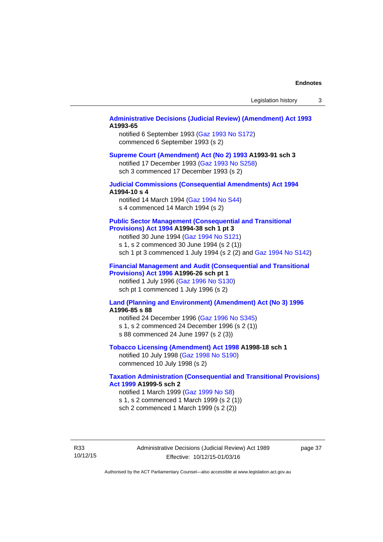#### **[Administrative Decisions \(Judicial Review\) \(Amendment\) Act 1993](http://www.legislation.act.gov.au/a/1993-65) A1993-65**

notified 6 September 1993 [\(Gaz 1993 No S172\)](http://www.legislation.act.gov.au/gaz/1993-S172/default.asp) commenced 6 September 1993 (s 2)

#### **[Supreme Court \(Amendment\) Act \(No 2\) 1993](http://www.legislation.act.gov.au/a/1993-91) A1993-91 sch 3**

notified 17 December 1993 [\(Gaz 1993 No S258](http://www.legislation.act.gov.au/gaz/1993-S258/default.asp)) sch 3 commenced 17 December 1993 (s 2)

#### **[Judicial Commissions \(Consequential Amendments\) Act 1994](http://www.legislation.act.gov.au/a/1994-10) A1994-10 s 4**

notified 14 March 1994 ([Gaz 1994 No S44](http://www.legislation.act.gov.au/gaz/1994-S44/default.asp)) s 4 commenced 14 March 1994 (s 2)

#### **[Public Sector Management \(Consequential and Transitional](http://www.legislation.act.gov.au/a/1994-38)  [Provisions\) Act 1994](http://www.legislation.act.gov.au/a/1994-38) A1994-38 sch 1 pt 3**

notified 30 June 1994 ([Gaz 1994 No S121\)](http://www.legislation.act.gov.au/gaz/1994-S121/default.asp) s 1, s 2 commenced 30 June 1994 (s 2 (1))

sch 1 pt 3 commenced 1 July 1994 (s 2 (2) and [Gaz 1994 No S142](http://www.legislation.act.gov.au/gaz/1994-S142/default.asp))

#### **[Financial Management and Audit \(Consequential and Transitional](http://www.legislation.act.gov.au/a/1996-26)  [Provisions\) Act 1996](http://www.legislation.act.gov.au/a/1996-26) A1996-26 sch pt 1**

notified 1 July 1996 [\(Gaz 1996 No S130](http://www.legislation.act.gov.au/gaz/1996-S130/default.asp)) sch pt 1 commenced 1 July 1996 (s 2)

#### **[Land \(Planning and Environment\) \(Amendment\) Act \(No 3\) 1996](http://www.legislation.act.gov.au/a/1996-85) A1996-85 s 88**

notified 24 December 1996 [\(Gaz 1996 No S345](http://www.legislation.act.gov.au/gaz/1996-S345/default.asp)) s 1, s 2 commenced 24 December 1996 (s 2 (1)) s 88 commenced 24 June 1997 (s 2 (3))

#### **[Tobacco Licensing \(Amendment\) Act 1998](http://www.legislation.act.gov.au/a/1998-18) A1998-18 sch 1**

notified 10 July 1998 ([Gaz 1998 No S190\)](http://www.legislation.act.gov.au/gaz/1998-S190/default.asp) commenced 10 July 1998 (s 2)

#### **[Taxation Administration \(Consequential and Transitional Provisions\)](http://www.legislation.act.gov.au/a/1999-5)  [Act 1999](http://www.legislation.act.gov.au/a/1999-5) A1999-5 sch 2**

notified 1 March 1999 [\(Gaz 1999 No S8](http://www.legislation.act.gov.au/gaz/1999-S8/default.asp)) s 1, s 2 commenced 1 March 1999 (s 2 (1)) sch 2 commenced 1 March 1999 (s 2 (2))

R33 10/12/15 page 37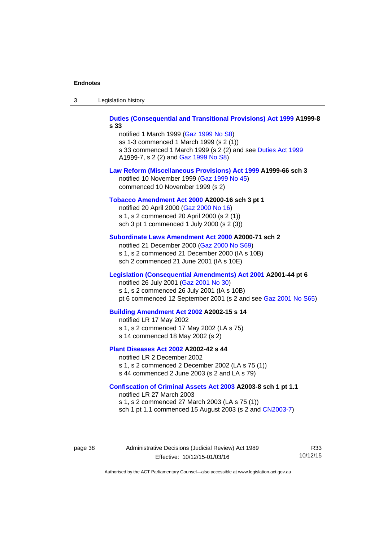| -3 | Legislation history |  |
|----|---------------------|--|
|----|---------------------|--|

**[Duties \(Consequential and Transitional Provisions\) Act 1999](http://www.legislation.act.gov.au/a/1999-8) A1999-8 s 33** 

notified 1 March 1999 [\(Gaz 1999 No S8](http://www.legislation.act.gov.au/gaz/1999-S8/default.asp)) ss 1-3 commenced 1 March 1999 (s 2 (1)) s 33 commenced 1 March 1999 (s 2 (2) and see [Duties Act 1999](http://www.legislation.act.gov.au/a/1999-7) A1999-7, s 2 (2) and [Gaz 1999 No S8\)](http://www.legislation.act.gov.au/gaz/1999-S8/default.asp)

#### **[Law Reform \(Miscellaneous Provisions\) Act 1999](http://www.legislation.act.gov.au/a/1999-66) A1999-66 sch 3**  notified 10 November 1999 [\(Gaz 1999 No 45](http://www.legislation.act.gov.au/gaz/1999-45/default.asp))

commenced 10 November 1999 (s 2)

#### **[Tobacco Amendment Act 2000](http://www.legislation.act.gov.au/a/2000-16) A2000-16 sch 3 pt 1**

notified 20 April 2000 [\(Gaz 2000 No 16\)](http://www.legislation.act.gov.au/gaz/2000-16/default.asp) s 1, s 2 commenced 20 April 2000 (s 2 (1)) sch 3 pt 1 commenced 1 July 2000 (s 2 (3))

#### **[Subordinate Laws Amendment Act 2000](http://www.legislation.act.gov.au/a/2000-71) A2000-71 sch 2**

notified 21 December 2000 [\(Gaz 2000 No S69\)](http://www.legislation.act.gov.au/gaz/2000-S69/default.asp) s 1, s 2 commenced 21 December 2000 (IA s 10B) sch 2 commenced 21 June 2001 (IA s 10E)

#### **[Legislation \(Consequential Amendments\) Act 2001](http://www.legislation.act.gov.au/a/2001-44) A2001-44 pt 6**

notified 26 July 2001 ([Gaz 2001 No 30\)](http://www.legislation.act.gov.au/gaz/2001-30/default.asp)

s 1, s 2 commenced 26 July 2001 (IA s 10B)

pt 6 commenced 12 September 2001 (s 2 and see [Gaz 2001 No S65\)](http://www.legislation.act.gov.au/gaz/2001-S65/default.asp)

#### **[Building Amendment Act 2002](http://www.legislation.act.gov.au/a/2002-15) A2002-15 s 14**

notified LR 17 May 2002

- s 1, s 2 commenced 17 May 2002 (LA s 75)
- s 14 commenced 18 May 2002 (s 2)

#### **[Plant Diseases Act 2002](http://www.legislation.act.gov.au/a/2002-42) A2002-42 s 44**

notified LR 2 December 2002 s 1, s 2 commenced 2 December 2002 (LA s 75 (1)) s 44 commenced 2 June 2003 (s 2 and LA s 79)

**[Confiscation of Criminal Assets Act 2003](http://www.legislation.act.gov.au/a/2003-8) A2003-8 sch 1 pt 1.1** 

notified LR 27 March 2003 s 1, s 2 commenced 27 March 2003 (LA s 75 (1)) sch 1 pt 1.1 commenced 15 August 2003 (s 2 and [CN2003-7](http://www.legislation.act.gov.au/cn/2003-7/default.asp))

page 38 Administrative Decisions (Judicial Review) Act 1989 Effective: 10/12/15-01/03/16

R33 10/12/15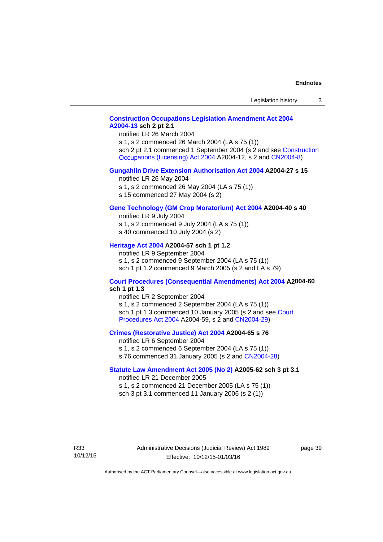# **[Construction Occupations Legislation Amendment Act 2004](http://www.legislation.act.gov.au/a/2004-13)  [A2004-13](http://www.legislation.act.gov.au/a/2004-13) sch 2 pt 2.1**

notified LR 26 March 2004

s 1, s 2 commenced 26 March 2004 (LA s 75 (1)) sch 2 pt 2.1 commenced 1 September 2004 (s 2 and see [Construction](http://www.legislation.act.gov.au/a/2004-12)  [Occupations \(Licensing\) Act 2004](http://www.legislation.act.gov.au/a/2004-12) A2004-12, s 2 and [CN2004-8\)](http://www.legislation.act.gov.au/cn/2004-8/default.asp)

#### **[Gungahlin Drive Extension Authorisation Act 2004](http://www.legislation.act.gov.au/a/2004-27) A2004-27 s 15**

notified LR 26 May 2004

- s 1, s 2 commenced 26 May 2004 (LA s 75 (1))
- s 15 commenced 27 May 2004 (s 2)

#### **[Gene Technology \(GM Crop Moratorium\) Act 2004](http://www.legislation.act.gov.au/a/2004-40) A2004-40 s 40**

notified LR 9 July 2004

- s 1, s 2 commenced 9 July 2004 (LA s 75 (1)) s 40 commenced 10 July 2004 (s 2)
- 

# **[Heritage Act 2004](http://www.legislation.act.gov.au/a/2004-57) A2004-57 sch 1 pt 1.2**

notified LR 9 September 2004 s 1, s 2 commenced 9 September 2004 (LA s 75 (1)) sch 1 pt 1.2 commenced 9 March 2005 (s 2 and LA s 79)

#### **[Court Procedures \(Consequential Amendments\) Act 2004](http://www.legislation.act.gov.au/a/2004-60) A2004-60 sch 1 pt 1.3**

notified LR 2 September 2004 s 1, s 2 commenced 2 September 2004 (LA s 75 (1)) sch 1 pt 1.3 commenced 10 January 2005 (s 2 and see [Court](http://www.legislation.act.gov.au/a/2004-59)  [Procedures Act 2004](http://www.legislation.act.gov.au/a/2004-59) A2004-59, s 2 and [CN2004-29\)](http://www.legislation.act.gov.au/cn/2004-29/default.asp)

#### **[Crimes \(Restorative Justice\) Act 2004](http://www.legislation.act.gov.au/a/2004-65) A2004-65 s 76**

notified LR 6 September 2004 s 1, s 2 commenced 6 September 2004 (LA s 75 (1)) s 76 commenced 31 January 2005 (s 2 and [CN2004-28](http://www.legislation.act.gov.au/cn/2004-28/default.asp))

#### **[Statute Law Amendment Act 2005 \(No 2\)](http://www.legislation.act.gov.au/a/2005-62) A2005-62 sch 3 pt 3.1**

notified LR 21 December 2005 s 1, s 2 commenced 21 December 2005 (LA s 75 (1)) sch 3 pt 3.1 commenced 11 January 2006 (s 2 (1))

R33 10/12/15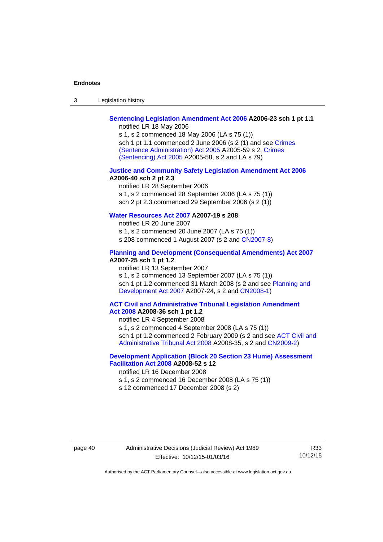| $\sqrt{2}$<br>- 3 | Legislation history |  |
|-------------------|---------------------|--|
|-------------------|---------------------|--|

# **[Sentencing Legislation Amendment Act 2006](http://www.legislation.act.gov.au/a/2006-23) A2006-23 sch 1 pt 1.1**

notified LR 18 May 2006

s 1, s 2 commenced 18 May 2006 (LA s 75 (1)) sch 1 pt 1.1 commenced 2 June 2006 (s 2 (1) and see [Crimes](http://www.legislation.act.gov.au/a/2005-59)  [\(Sentence Administration\) Act 2005](http://www.legislation.act.gov.au/a/2005-59) A2005-59 s 2, [Crimes](http://www.legislation.act.gov.au/a/2005-58)  [\(Sentencing\) Act 2005](http://www.legislation.act.gov.au/a/2005-58) A2005-58, s 2 and LA s 79)

#### **[Justice and Community Safety Legislation Amendment Act 2006](http://www.legislation.act.gov.au/a/2006-40) A2006-40 sch 2 pt 2.3**

notified LR 28 September 2006 s 1, s 2 commenced 28 September 2006 (LA s 75 (1)) sch 2 pt 2.3 commenced 29 September 2006 (s 2 (1))

### **[Water Resources Act 2007](http://www.legislation.act.gov.au/a/2007-19) A2007-19 s 208**

notified LR 20 June 2007 s 1, s 2 commenced 20 June 2007 (LA s 75 (1)) s 208 commenced 1 August 2007 (s 2 and [CN2007-8](http://www.legislation.act.gov.au/cn/2007-8/default.asp))

#### **[Planning and Development \(Consequential Amendments\) Act 2007](http://www.legislation.act.gov.au/a/2007-25) A2007-25 sch 1 pt 1.2**

notified LR 13 September 2007

s 1, s 2 commenced 13 September 2007 (LA s 75 (1)) sch 1 pt 1.2 commenced 31 March 2008 (s 2 and see Planning and [Development Act 2007](http://www.legislation.act.gov.au/a/2007-24) A2007-24, s 2 and [CN2008-1](http://www.legislation.act.gov.au/cn/2008-1/default.asp))

#### **[ACT Civil and Administrative Tribunal Legislation Amendment](http://www.legislation.act.gov.au/a/2008-36)  [Act 2008](http://www.legislation.act.gov.au/a/2008-36) A2008-36 sch 1 pt 1.2**

notified LR 4 September 2008

s 1, s 2 commenced 4 September 2008 (LA s 75 (1))

sch 1 pt 1.2 commenced 2 February 2009 (s 2 and see [ACT Civil and](http://www.legislation.act.gov.au/a/2008-35)  [Administrative Tribunal Act 2008](http://www.legislation.act.gov.au/a/2008-35) A2008-35, s 2 and [CN2009-2\)](http://www.legislation.act.gov.au/cn/2009-2/default.asp)

### **[Development Application \(Block 20 Section 23 Hume\) Assessment](http://www.legislation.act.gov.au/a/2008-52)  [Facilitation Act 2008](http://www.legislation.act.gov.au/a/2008-52) A2008-52 s 12**

notified LR 16 December 2008

- s 1, s 2 commenced 16 December 2008 (LA s 75 (1))
- s 12 commenced 17 December 2008 (s 2)

R33 10/12/15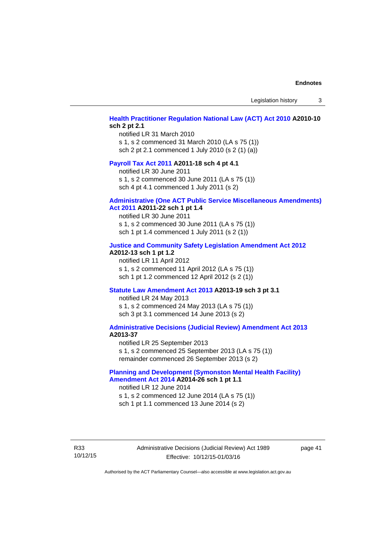Legislation history 3

#### **[Health Practitioner Regulation National Law \(ACT\) Act 2010](http://www.legislation.act.gov.au/a/2010-10) A2010-10 sch 2 pt 2.1**

notified LR 31 March 2010 s 1, s 2 commenced 31 March 2010 (LA s 75 (1)) sch 2 pt 2.1 commenced 1 July 2010 (s 2 (1) (a))

#### **[Payroll Tax Act 2011](http://www.legislation.act.gov.au/a/2011-18) A2011-18 sch 4 pt 4.1**

notified LR 30 June 2011 s 1, s 2 commenced 30 June 2011 (LA s 75 (1)) sch 4 pt 4.1 commenced 1 July 2011 (s 2)

#### **[Administrative \(One ACT Public Service Miscellaneous Amendments\)](http://www.legislation.act.gov.au/a/2011-22)**

#### **[Act 2011](http://www.legislation.act.gov.au/a/2011-22) A2011-22 sch 1 pt 1.4**

notified LR 30 June 2011 s 1, s 2 commenced 30 June 2011 (LA s 75 (1)) sch 1 pt 1.4 commenced 1 July 2011 (s 2 (1))

#### **[Justice and Community Safety Legislation Amendment Act 2012](http://www.legislation.act.gov.au/a/2012-13)**

#### **A2012-13 sch 1 pt 1.2**

notified LR 11 April 2012 s 1, s 2 commenced 11 April 2012 (LA s 75 (1)) sch 1 pt 1.2 commenced 12 April 2012 (s 2 (1))

#### **[Statute Law Amendment Act 2013](http://www.legislation.act.gov.au/a/2013-19) A2013-19 sch 3 pt 3.1**

notified LR 24 May 2013 s 1, s 2 commenced 24 May 2013 (LA s 75 (1)) sch 3 pt 3.1 commenced 14 June 2013 (s 2)

#### **[Administrative Decisions \(Judicial Review\) Amendment Act 2013](http://www.legislation.act.gov.au/a/2013-37) A2013-37**

notified LR 25 September 2013 s 1, s 2 commenced 25 September 2013 (LA s 75 (1)) remainder commenced 26 September 2013 (s 2)

#### **[Planning and Development \(Symonston Mental Health Facility\)](http://www.legislation.act.gov.au/a/2014-26)  [Amendment Act 2014](http://www.legislation.act.gov.au/a/2014-26) A2014-26 sch 1 pt 1.1**

notified LR 12 June 2014 s 1, s 2 commenced 12 June 2014 (LA s 75 (1)) sch 1 pt 1.1 commenced 13 June 2014 (s 2)

R33 10/12/15 Administrative Decisions (Judicial Review) Act 1989 Effective: 10/12/15-01/03/16

page 41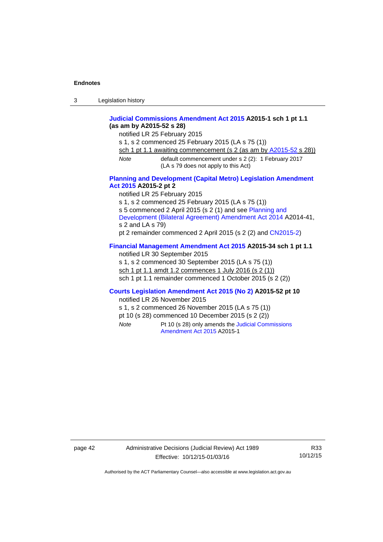| $\sqrt{2}$<br>- 3 | Legislation history |  |
|-------------------|---------------------|--|
|-------------------|---------------------|--|

#### **[Judicial Commissions Amendment Act 2015](http://www.legislation.act.gov.au/a/2015-1) A2015-1 sch 1 pt 1.1 (as am by A2015-52 s 28)**

notified LR 25 February 2015

s 1, s 2 commenced 25 February 2015 (LA s 75 (1))

sch 1 pt 1.1 awaiting commencement (s 2 (as am by [A2015-52](http://www.legislation.act.gov.au/a/2015-52) s 28))

*Note* default commencement under s 2 (2): 1 February 2017 (LA s 79 does not apply to this Act)

#### **[Planning and Development \(Capital Metro\) Legislation Amendment](http://www.legislation.act.gov.au/a/2015-2)  [Act 2015](http://www.legislation.act.gov.au/a/2015-2) A2015-2 pt 2**

notified LR 25 February 2015

s 1, s 2 commenced 25 February 2015 (LA s 75 (1))

s 5 commenced 2 April 2015 (s 2 (1) and see [Planning and](http://www.legislation.act.gov.au/a/2014-41/default.asp) 

[Development \(Bilateral Agreement\) Amendment Act 2014](http://www.legislation.act.gov.au/a/2014-41/default.asp) A2014-41, s 2 and LA s 79)

pt 2 remainder commenced 2 April 2015 (s 2 (2) and [CN2015-2](http://www.legislation.act.gov.au/cn/2015-2/default.asp))

# **[Financial Management Amendment Act 2015](http://www.legislation.act.gov.au/a/2015-34/default.asp) A2015-34 sch 1 pt 1.1**

notified LR 30 September 2015 s 1, s 2 commenced 30 September 2015 (LA s 75 (1)) sch 1 pt 1.1 amdt 1.2 commences 1 July 2016 (s 2 (1)) sch 1 pt 1.1 remainder commenced 1 October 2015 (s 2 (2))

### **[Courts Legislation Amendment Act 2015 \(No 2\)](http://www.legislation.act.gov.au/a/2015-52/default.asp) A2015-52 pt 10**

notified LR 26 November 2015

s 1, s 2 commenced 26 November 2015 (LA s 75 (1))

pt 10 (s 28) commenced 10 December 2015 (s 2 (2))

*Note* Pt 10 (s 28) only amends the [Judicial Commissions](http://www.legislation.act.gov.au/a/2015-1)  [Amendment Act 2015](http://www.legislation.act.gov.au/a/2015-1) A2015-1

page 42 Administrative Decisions (Judicial Review) Act 1989 Effective: 10/12/15-01/03/16

R33 10/12/15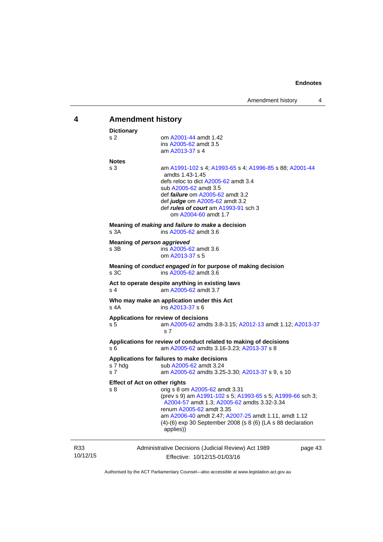<span id="page-46-0"></span>

| 4               | <b>Amendment history</b>                                                                                                                                                                                                                                                                                                                                   |  |  |
|-----------------|------------------------------------------------------------------------------------------------------------------------------------------------------------------------------------------------------------------------------------------------------------------------------------------------------------------------------------------------------------|--|--|
|                 | <b>Dictionary</b><br>s 2<br>om A2001-44 amdt 1.42<br>ins A2005-62 amdt 3.5<br>am A2013-37 s 4                                                                                                                                                                                                                                                              |  |  |
|                 | <b>Notes</b><br>s 3<br>am A1991-102 s 4; A1993-65 s 4; A1996-85 s 88; A2001-44<br>amdts 1.43-1.45<br>defs reloc to dict A2005-62 amdt 3.4<br>sub A2005-62 amdt 3.5<br>def <i>failure</i> om A2005-62 amdt 3.2<br>def judge om A2005-62 amdt 3.2<br>def rules of court am A1993-91 sch 3<br>om A2004-60 amdt 1.7                                            |  |  |
|                 | Meaning of <i>making</i> and <i>failure to make</i> a decision<br>s 3A<br>ins A2005-62 amdt 3.6                                                                                                                                                                                                                                                            |  |  |
|                 | Meaning of person aggrieved<br>s 3B<br>ins A2005-62 amdt 3.6<br>om A2013-37 s 5                                                                                                                                                                                                                                                                            |  |  |
|                 | Meaning of conduct engaged in for purpose of making decision<br>s 3C<br>ins A2005-62 amdt 3.6                                                                                                                                                                                                                                                              |  |  |
|                 | Act to operate despite anything in existing laws<br>s 4<br>am A2005-62 amdt 3.7                                                                                                                                                                                                                                                                            |  |  |
|                 | Who may make an application under this Act<br>s 4A<br>ins A2013-37 s 6                                                                                                                                                                                                                                                                                     |  |  |
|                 | Applications for review of decisions<br>am A2005-62 amdts 3.8-3.15; A2012-13 amdt 1.12; A2013-37<br>s 5<br>s <sub>7</sub>                                                                                                                                                                                                                                  |  |  |
|                 | Applications for review of conduct related to making of decisions<br>s 6<br>am A2005-62 amdts 3.16-3.23; A2013-37 s 8                                                                                                                                                                                                                                      |  |  |
|                 | Applications for failures to make decisions<br>s 7 hdg<br>sub A2005-62 amdt 3.24<br>s 7<br>am A2005-62 amdts 3.25-3.30; A2013-37 s 9, s 10                                                                                                                                                                                                                 |  |  |
|                 | <b>Effect of Act on other rights</b><br>orig s 8 om A2005-62 amdt 3.31<br>s 8<br>(prev s 9) am A1991-102 s 5; A1993-65 s 5; A1999-66 sch 3;<br>A2004-57 amdt 1.3; A2005-62 amdts 3.32-3.34<br>renum A2005-62 amdt 3.35<br>am A2006-40 amdt 2.47; A2007-25 amdt 1.11, amdt 1.12<br>(4)-(6) exp 30 September 2008 (s 8 (6) (LA s 88 declaration<br>applies)) |  |  |
| R33<br>10/12/15 | Administrative Decisions (Judicial Review) Act 1989<br>page 43<br>Effective: 10/12/15-01/03/16                                                                                                                                                                                                                                                             |  |  |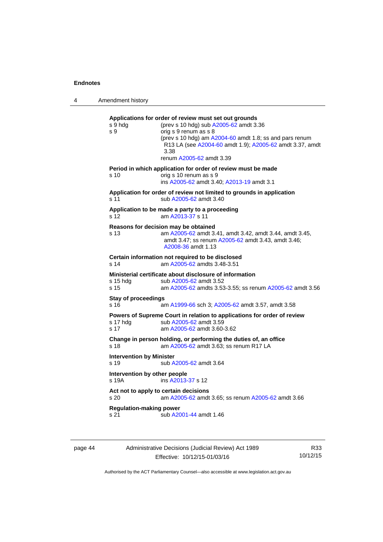4 Amendment history **Applications for order of review must set out grounds**  s 9 hdg (prev s 10 hdg) sub [A2005-62](http://www.legislation.act.gov.au/a/2005-62) amdt 3.36 s 9 orig s 9 renum as s 8 (prev s 10 hdg) am [A2004-60](http://www.legislation.act.gov.au/a/2004-60) amdt 1.8; ss and pars renum R13 LA (see [A2004-60](http://www.legislation.act.gov.au/a/2004-60) amdt 1.9); [A2005-62](http://www.legislation.act.gov.au/a/2005-62) amdt 3.37, amdt 3.38 renum [A2005-62](http://www.legislation.act.gov.au/a/2005-62) amdt 3.39 **Period in which application for order of review must be made**  s 10 orig s 10 renum as s 9 ins [A2005-62](http://www.legislation.act.gov.au/a/2005-62) amdt 3.40; [A2013-19](http://www.legislation.act.gov.au/a/2013-19) amdt 3.1 **Application for order of review not limited to grounds in application**  s 11 sub [A2005-62](http://www.legislation.act.gov.au/a/2005-62) amdt 3.40 **Application to be made a party to a proceeding**  s 12 am [A2013-37](http://www.legislation.act.gov.au/a/2013-37) s 11 **Reasons for decision may be obtained**  s 13 am [A2005-62](http://www.legislation.act.gov.au/a/2005-62) amdt 3.41, amdt 3.42, amdt 3.44, amdt 3.45, amdt 3.47; ss renum [A2005-62](http://www.legislation.act.gov.au/a/2005-62) amdt 3.43, amdt 3.46; [A2008-36](http://www.legislation.act.gov.au/a/2008-36) amdt 1.13 **Certain information not required to be disclosed**<br>s 14 am A2005-62 amdts 3.48-3.51 am [A2005-62](http://www.legislation.act.gov.au/a/2005-62) amdts 3.48-3.51 **Ministerial certificate about disclosure of information**  s 15 hdg sub [A2005-62](http://www.legislation.act.gov.au/a/2005-62) amdt 3.52 s 15 am [A2005-62](http://www.legislation.act.gov.au/a/2005-62) amdts 3.53-3.55; ss renum [A2005-62](http://www.legislation.act.gov.au/a/2005-62) amdt 3.56 **Stay of proceedings**  s 16 am [A1999-66](http://www.legislation.act.gov.au/a/1999-66) sch 3; [A2005-62](http://www.legislation.act.gov.au/a/2005-62) amdt 3.57, amdt 3.58 **Powers of Supreme Court in relation to applications for order of review**  s 17 hdg sub [A2005-62](http://www.legislation.act.gov.au/a/2005-62) amdt 3.59 s 17 am [A2005-62](http://www.legislation.act.gov.au/a/2005-62) amdt 3.60-3.62 **Change in person holding, or performing the duties of, an office**  s 18 **am [A2005-62](http://www.legislation.act.gov.au/a/2005-62)** amdt 3.63; ss renum R17 LA **Intervention by Minister**  s 19 sub [A2005-62](http://www.legislation.act.gov.au/a/2005-62) amdt 3.64

> **Intervention by other people**  s 19A ins [A2013-37](http://www.legislation.act.gov.au/a/2013-37) s 12 **Act not to apply to certain decisions**  s 20 am [A2005-62](http://www.legislation.act.gov.au/a/2005-62) amdt 3.65; ss renum [A2005-62](http://www.legislation.act.gov.au/a/2005-62) amdt 3.66 **Regulation-making power**

s 21 sub [A2001-44](http://www.legislation.act.gov.au/a/2001-44) amdt 1.46

Administrative Decisions (Judicial Review) Act 1989 Effective: 10/12/15-01/03/16

R33 10/12/15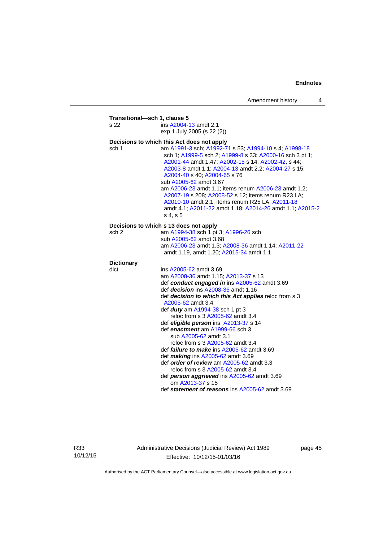| s 22              | ins A2004-13 amdt 2.1                                                                                                                                                                                                                                                                                                                                                                                                                                                                                                             |
|-------------------|-----------------------------------------------------------------------------------------------------------------------------------------------------------------------------------------------------------------------------------------------------------------------------------------------------------------------------------------------------------------------------------------------------------------------------------------------------------------------------------------------------------------------------------|
|                   | exp 1 July 2005 (s 22 (2))                                                                                                                                                                                                                                                                                                                                                                                                                                                                                                        |
|                   | Decisions to which this Act does not apply                                                                                                                                                                                                                                                                                                                                                                                                                                                                                        |
| sch 1             | am A1991-3 sch; A1992-71 s 53; A1994-10 s 4; A1998-18<br>sch 1; A1999-5 sch 2; A1999-8 s 33; A2000-16 sch 3 pt 1;<br>A2001-44 amdt 1.47; A2002-15 s 14; A2002-42, s 44;<br>A2003-8 amdt 1.1; A2004-13 amdt 2.2; A2004-27 s 15;<br>A2004-40 s 40; A2004-65 s 76<br>sub A2005-62 amdt 3.67<br>am A2006-23 amdt 1.1; items renum A2006-23 amdt 1.2;<br>A2007-19 s 208; A2008-52 s 12; items renum R23 LA;<br>A2010-10 amdt 2.1; items renum R25 LA; A2011-18<br>amdt 4.1; A2011-22 amdt 1.18; A2014-26 amdt 1.1; A2015-2<br>s 4, s 5 |
|                   | Decisions to which s 13 does not apply                                                                                                                                                                                                                                                                                                                                                                                                                                                                                            |
| sch 2             | am A1994-38 sch 1 pt 3; A1996-26 sch                                                                                                                                                                                                                                                                                                                                                                                                                                                                                              |
|                   | sub A2005-62 amdt 3.68                                                                                                                                                                                                                                                                                                                                                                                                                                                                                                            |
|                   | am A2006-23 amdt 1.3; A2008-36 amdt 1.14; A2011-22<br>amdt 1.19, amdt 1.20; A2015-34 amdt 1.1                                                                                                                                                                                                                                                                                                                                                                                                                                     |
| <b>Dictionary</b> |                                                                                                                                                                                                                                                                                                                                                                                                                                                                                                                                   |
| dict              | ins A2005-62 amdt 3.69                                                                                                                                                                                                                                                                                                                                                                                                                                                                                                            |
|                   | am A2008-36 amdt 1.15; A2013-37 s 13                                                                                                                                                                                                                                                                                                                                                                                                                                                                                              |
|                   | def conduct engaged in ins A2005-62 amdt 3.69                                                                                                                                                                                                                                                                                                                                                                                                                                                                                     |
|                   | def <i>decision</i> ins A2008-36 amdt 1.16                                                                                                                                                                                                                                                                                                                                                                                                                                                                                        |
|                   | def decision to which this Act applies reloc from s 3<br>A2005-62 amdt 3.4                                                                                                                                                                                                                                                                                                                                                                                                                                                        |
|                   | def <i>duty</i> am A1994-38 sch 1 pt 3                                                                                                                                                                                                                                                                                                                                                                                                                                                                                            |
|                   | reloc from s 3 A2005-62 amdt 3.4                                                                                                                                                                                                                                                                                                                                                                                                                                                                                                  |
|                   | def eligible person ins A2013-37 s 14                                                                                                                                                                                                                                                                                                                                                                                                                                                                                             |
|                   | def enactment am A1999-66 sch 3                                                                                                                                                                                                                                                                                                                                                                                                                                                                                                   |
|                   | sub A2005-62 amdt 3.1                                                                                                                                                                                                                                                                                                                                                                                                                                                                                                             |
|                   | reloc from s 3 A2005-62 amdt 3.4                                                                                                                                                                                                                                                                                                                                                                                                                                                                                                  |
|                   | def <i>failure to make</i> ins $A2005-62$ amdt 3.69                                                                                                                                                                                                                                                                                                                                                                                                                                                                               |
|                   | def making ins A2005-62 amdt 3.69                                                                                                                                                                                                                                                                                                                                                                                                                                                                                                 |
|                   | def order of review am A2005-62 amdt 3.3                                                                                                                                                                                                                                                                                                                                                                                                                                                                                          |
|                   | reloc from s 3 A2005-62 amdt 3.4                                                                                                                                                                                                                                                                                                                                                                                                                                                                                                  |
|                   | def person aggrieved ins A2005-62 amdt 3.69                                                                                                                                                                                                                                                                                                                                                                                                                                                                                       |
|                   | om A2013-37 s 15                                                                                                                                                                                                                                                                                                                                                                                                                                                                                                                  |
|                   | def statement of reasons ins A2005-62 amdt 3.69                                                                                                                                                                                                                                                                                                                                                                                                                                                                                   |

R33 10/12/15 Administrative Decisions (Judicial Review) Act 1989 Effective: 10/12/15-01/03/16

page 45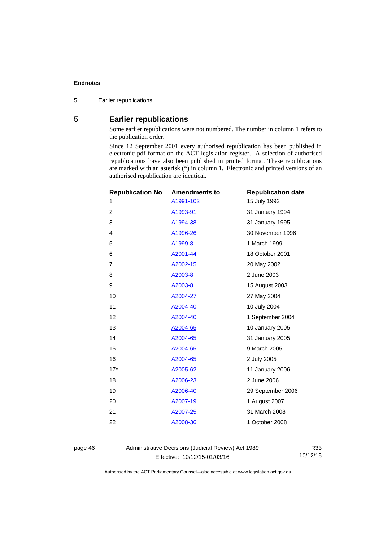5 Earlier republications

# <span id="page-49-0"></span>**5 Earlier republications**

Some earlier republications were not numbered. The number in column 1 refers to the publication order.

Since 12 September 2001 every authorised republication has been published in electronic pdf format on the ACT legislation register. A selection of authorised republications have also been published in printed format. These republications are marked with an asterisk (\*) in column 1. Electronic and printed versions of an authorised republication are identical.

| <b>Republication No</b> | <b>Amendments to</b> | <b>Republication date</b> |
|-------------------------|----------------------|---------------------------|
| 1                       | A1991-102            | 15 July 1992              |
| 2                       | A1993-91             | 31 January 1994           |
| 3                       | A1994-38             | 31 January 1995           |
| $\overline{4}$          | A1996-26             | 30 November 1996          |
| 5                       | A1999-8              | 1 March 1999              |
| 6                       | A2001-44             | 18 October 2001           |
| $\overline{7}$          | A2002-15             | 20 May 2002               |
| 8                       | A2003-8              | 2 June 2003               |
| 9                       | A2003-8              | 15 August 2003            |
| 10                      | A2004-27             | 27 May 2004               |
| 11                      | A2004-40             | 10 July 2004              |
| 12                      | A2004-40             | 1 September 2004          |
| 13                      | A2004-65             | 10 January 2005           |
| 14                      | A2004-65             | 31 January 2005           |
| 15                      | A2004-65             | 9 March 2005              |
| 16                      | A2004-65             | 2 July 2005               |
| $17*$                   | A2005-62             | 11 January 2006           |
| 18                      | A2006-23             | 2 June 2006               |
| 19                      | A2006-40             | 29 September 2006         |
| 20                      | A2007-19             | 1 August 2007             |
| 21                      | A2007-25             | 31 March 2008             |
| 22                      | A2008-36             | 1 October 2008            |
|                         |                      |                           |

page 46 Administrative Decisions (Judicial Review) Act 1989 Effective: 10/12/15-01/03/16

R33 10/12/15